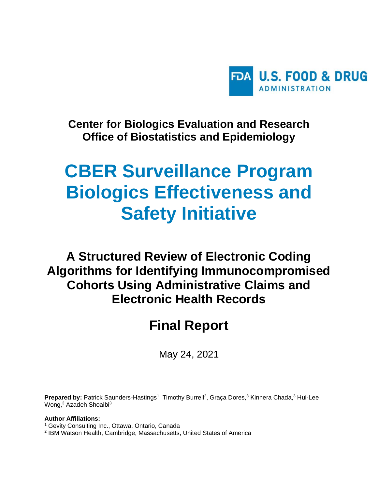

**Center for Biologics Evaluation and Research Office of Biostatistics and Epidemiology**

# **CBER Surveillance Program Biologics Effectiveness and Safety Initiative**

# **A Structured Review of Electronic Coding Algorithms for Identifying Immunocompromised Cohorts Using Administrative Claims and Electronic Health Records**

# **Final Report**

May 24, 2021

Prepared by: Patrick Saunders-Hastings<sup>1</sup>, Timothy Burrell<sup>2</sup>, Graça Dores,<sup>3</sup> Kinnera Chada,<sup>3</sup> Hui-Lee Wong,<sup>3</sup> Azadeh Shoaibi<sup>3</sup>

#### **Author Affiliations:**

- <sup>1</sup> Gevity Consulting Inc., Ottawa, Ontario, Canada
- 2 IBM Watson Health, Cambridge, Massachusetts, United States of America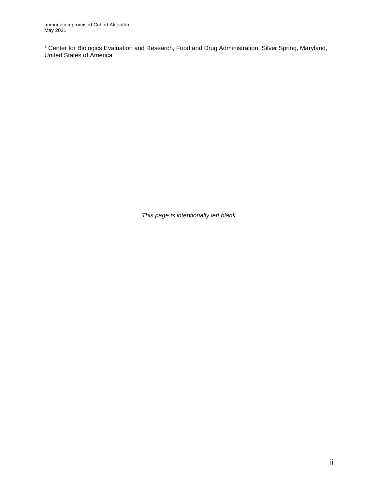$3$  Center for Biologics Evaluation and Research, Food and Drug Administration, Silver Spring, Maryland, United States of America

*This page is intentionally left blank*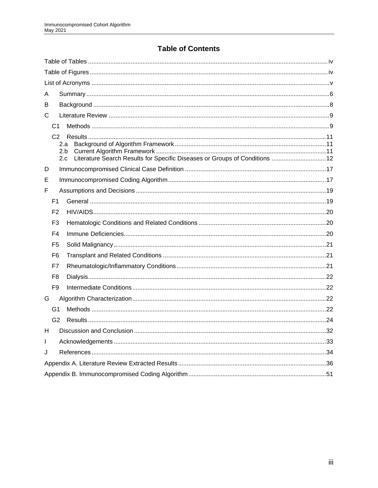# **Table of Contents**

| A                                                                                                 |  |
|---------------------------------------------------------------------------------------------------|--|
| В                                                                                                 |  |
| С                                                                                                 |  |
| C1                                                                                                |  |
| 2.a<br>2.b<br>Literature Search Results for Specific Diseases or Groups of Conditions  12<br>2.c. |  |
| D                                                                                                 |  |
| Е                                                                                                 |  |
| F                                                                                                 |  |
| F <sub>1</sub>                                                                                    |  |
| F <sub>2</sub>                                                                                    |  |
| F3                                                                                                |  |
| F4                                                                                                |  |
| F5                                                                                                |  |
| F6                                                                                                |  |
| F7                                                                                                |  |
| F8                                                                                                |  |
| F <sub>9</sub>                                                                                    |  |
| G                                                                                                 |  |
| G1                                                                                                |  |
| G <sub>2</sub>                                                                                    |  |
| H                                                                                                 |  |
| L                                                                                                 |  |
| J                                                                                                 |  |
|                                                                                                   |  |
|                                                                                                   |  |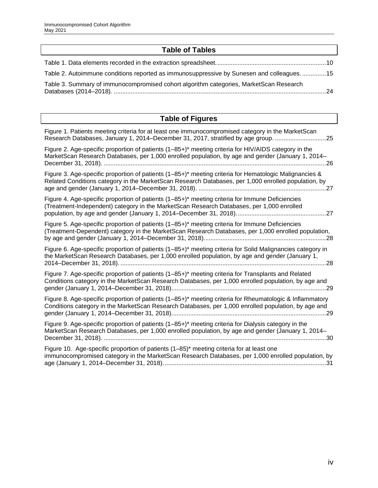# **Table of Tables**

<span id="page-3-0"></span>

| Table 2. Autoimmune conditions reported as immunosuppressive by Sunesen and colleagues 15 |  |
|-------------------------------------------------------------------------------------------|--|
| Table 3. Summary of immunocompromised cohort algorithm categories, MarketScan Research    |  |
|                                                                                           |  |

# **Table of Figures**

<span id="page-3-1"></span>

| Figure 1. Patients meeting criteria for at least one immunocompromised category in the MarketScan<br>Research Databases, January 1, 2014–December 31, 2017, stratified by age group. 25                              |
|----------------------------------------------------------------------------------------------------------------------------------------------------------------------------------------------------------------------|
| Figure 2. Age-specific proportion of patients (1–85+)* meeting criteria for HIV/AIDS category in the<br>MarketScan Research Databases, per 1,000 enrolled population, by age and gender (January 1, 2014–<br>.26     |
| Figure 3. Age-specific proportion of patients (1-85+)* meeting criteria for Hematologic Malignancies &<br>Related Conditions category in the MarketScan Research Databases, per 1,000 enrolled population, by        |
| Figure 4. Age-specific proportion of patients (1–85+)* meeting criteria for Immune Deficiencies<br>(Treatment-Independent) category in the MarketScan Research Databases, per 1,000 enrolled                         |
| Figure 5. Age-specific proportion of patients (1–85+)* meeting criteria for Immune Deficiencies<br>(Treatment-Dependent) category in the MarketScan Research Databases, per 1,000 enrolled population,<br>28         |
| Figure 6. Age-specific proportion of patients (1–85+)* meeting criteria for Solid Malignancies category in<br>the MarketScan Research Databases, per 1,000 enrolled population, by age and gender (January 1,<br>.28 |
| Figure 7. Age-specific proportion of patients (1–85+)* meeting criteria for Transplants and Related<br>Conditions category in the MarketScan Research Databases, per 1,000 enrolled population, by age and<br>.29    |
| Figure 8. Age-specific proportion of patients (1-85+)* meeting criteria for Rheumatologic & Inflammatory<br>Conditions category in the MarketScan Research Databases, per 1,000 enrolled population, by age and      |
| Figure 9. Age-specific proportion of patients (1-85+)* meeting criteria for Dialysis category in the<br>MarketScan Research Databases, per 1,000 enrolled population, by age and gender (January 1, 2014–            |
| Figure 10. Age-specific proportion of patients (1–85) <sup>*</sup> meeting criteria for at least one<br>immunocompromised category in the MarketScan Research Databases, per 1,000 enrolled population, by           |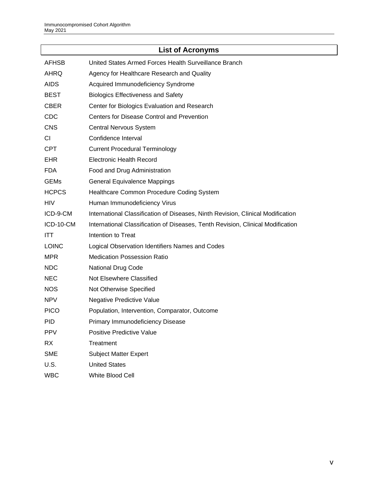<span id="page-4-0"></span>

| <b>List of Acronyms</b> |                                                                                 |  |  |  |  |
|-------------------------|---------------------------------------------------------------------------------|--|--|--|--|
| <b>AFHSB</b>            | United States Armed Forces Health Surveillance Branch                           |  |  |  |  |
| AHRQ                    | Agency for Healthcare Research and Quality                                      |  |  |  |  |
| <b>AIDS</b>             | Acquired Immunodeficiency Syndrome                                              |  |  |  |  |
| <b>BEST</b>             | <b>Biologics Effectiveness and Safety</b>                                       |  |  |  |  |
| <b>CBER</b>             | Center for Biologics Evaluation and Research                                    |  |  |  |  |
| CDC                     | Centers for Disease Control and Prevention                                      |  |  |  |  |
| <b>CNS</b>              | <b>Central Nervous System</b>                                                   |  |  |  |  |
| СI                      | Confidence Interval                                                             |  |  |  |  |
| <b>CPT</b>              | <b>Current Procedural Terminology</b>                                           |  |  |  |  |
| <b>EHR</b>              | <b>Electronic Health Record</b>                                                 |  |  |  |  |
| <b>FDA</b>              | Food and Drug Administration                                                    |  |  |  |  |
| <b>GEMs</b>             | <b>General Equivalence Mappings</b>                                             |  |  |  |  |
| <b>HCPCS</b>            | Healthcare Common Procedure Coding System                                       |  |  |  |  |
| <b>HIV</b>              | Human Immunodeficiency Virus                                                    |  |  |  |  |
| ICD-9-CM                | International Classification of Diseases, Ninth Revision, Clinical Modification |  |  |  |  |
| ICD-10-CM               | International Classification of Diseases, Tenth Revision, Clinical Modification |  |  |  |  |
| <b>ITT</b>              | Intention to Treat                                                              |  |  |  |  |
| <b>LOINC</b>            | Logical Observation Identifiers Names and Codes                                 |  |  |  |  |
| <b>MPR</b>              | <b>Medication Possession Ratio</b>                                              |  |  |  |  |
| <b>NDC</b>              | <b>National Drug Code</b>                                                       |  |  |  |  |
| <b>NEC</b>              | Not Elsewhere Classified                                                        |  |  |  |  |
| <b>NOS</b>              | Not Otherwise Specified                                                         |  |  |  |  |
| <b>NPV</b>              | Negative Predictive Value                                                       |  |  |  |  |
| <b>PICO</b>             | Population, Intervention, Comparator, Outcome                                   |  |  |  |  |
| <b>PID</b>              | Primary Immunodeficiency Disease                                                |  |  |  |  |
| <b>PPV</b>              | <b>Positive Predictive Value</b>                                                |  |  |  |  |
| <b>RX</b>               | Treatment                                                                       |  |  |  |  |
| <b>SME</b>              | <b>Subject Matter Expert</b>                                                    |  |  |  |  |
| U.S.                    | <b>United States</b>                                                            |  |  |  |  |
| <b>WBC</b>              | White Blood Cell                                                                |  |  |  |  |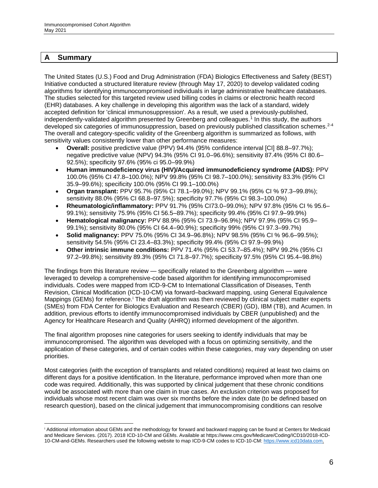#### <span id="page-5-0"></span>**A Summary**

The United States (U.S.) Food and Drug Administration (FDA) Biologics Effectiveness and Safety (BEST) Initiative conducted a structured literature review (through May 17, 2020) to develop validated coding algorithms for identifying immunocompromised individuals in large administrative healthcare databases. The studies selected for this targeted review used billing codes in claims or electronic health record (EHR) databases. A key challenge in developing this algorithm was the lack of a standard, widely accepted definition for 'clinical immunosuppression'. As a result, we used a previously-published, independently-validated algorithm presented by Greenberg and colleagues.<sup>1</sup> In this study, the authors developed six categories of immunosuppression, based on previously published classification schemes.<sup>2-4</sup> The overall and category-specific validity of the Greenberg algorithm is summarized as follows, with sensitivity values consistently lower than other performance measures:

- **Overall:** positive predictive value (PPV) 94.4% (95% confidence interval [CI] 88.8–97.7%); negative predictive value (NPV) 94.3% (95% CI 91.0–96.6%); sensitivity 87.4% (95% CI 80.6– 92.5%); specificity 97.6% (95% ci 95.0–99.9%)
- **Human immunodeficiency virus (HIV)/Acquired immunodeficiency syndrome (AIDS):** PPV 100.0% (95% CI 47.8–100.0%); NPV 99.8% (95% CI 98.7–100.0%); sensitivity 83.3% (95% CI 35.9–99.6%); specificity 100.0% (95% CI 99.1–100.0%)
- **Organ transplant:** PPV 95.7% (95% CI 78.1–99.0%); NPV 99.1% (95% CI % 97.3–99.8%); sensitivity 88.0% (95% CI 68.8–97.5%); specificity 97.7% (95% CI 98.3–100.0%)
- **Rheumatologic/inflammatory:** PPV 91.7% (95% CI73.0–99.0%); NPV 97.8% (95% CI % 95.6– 99.1%); sensitivity 75.9% (95% CI 56.5–89.7%); specificity 99.4% (95% CI 97.9–99.9%)
- **Hematological malignancy:** PPV 88.9% (95% CI 73.9–96.9%); NPV 97.9% (95% CI 95.9– 99.1%); sensitivity 80.0% (95% CI 64.4–90.9%); specificity 99% (95% CI 97.3–99.7%)
- **Solid malignancy:** PPV 75.0% (95% CI 34.9–96.8%); NPV 98.5% (95% CI % 96.6–99.5%); sensitivity 54.5% (95% CI 23.4–83.3%); specificity 99.4% (95% CI 97.9–99.9%)
- **Other intrinsic immune conditions:** PPV 71.4% (95% CI 53.7–85.4%); NPV 99.2% (95% CI 97.2–99.8%); sensitivity 89.3% (95% CI 71.8–97.7%); specificity 97.5% (95% CI 95.4–98.8%)

The findings from this literature review — specifically related to the Greenberg algorithm — were leveraged to develop a comprehensive-code based algorithm for identifying immunocompromised individuals. Codes were mapped from ICD-9-CM to International Classification of Diseases, Tenth Revision, Clinical Modification (ICD-10-CM) via forward–backward mapping, using General Equivalence Mappings (GEMs) for reference.<sup>i</sup> The draft algorithm was then reviewed by clinical subject matter experts (SMEs) from FDA Center for Biologics Evaluation and Research (CBER) (GD), IBM (TB), and Acumen. In addition, previous efforts to identify immunocompromised individuals by CBER (unpublished) and the Agency for Healthcare Research and Quality (AHRQ) informed development of the algorithm.

The final algorithm proposes nine categories for users seeking to identify individuals that may be immunocompromised. The algorithm was developed with a focus on optimizing sensitivity, and the application of these categories, and of certain codes within these categories, may vary depending on user priorities.

Most categories (with the exception of transplants and related conditions) required at least two claims on different days for a positive identification. In the literature, performance improved when more than one code was required. Additionally, this was supported by clinical judgement that these chronic conditions would be associated with more than one claim in true cases. An exclusion criterion was proposed for individuals whose most recent claim was over six months before the index date (to be defined based on research question), based on the clinical judgement that immunocompromising conditions can resolve

<sup>i</sup> Additional information about GEMs and the methodology for forward and backward mapping can be found at Centers for Medicaid and Medicare Services. (2017). 2018 ICD-10-CM and GEMs. Available at https://www.cms.gov/Medicare/Coding/ICD10/2018-ICD-10-CM-and-GEMs. Researchers used the following website to map ICD-9-CM codes to ICD-10-CM[: https://www.icd10data.com.](https://www.icd10data.com/)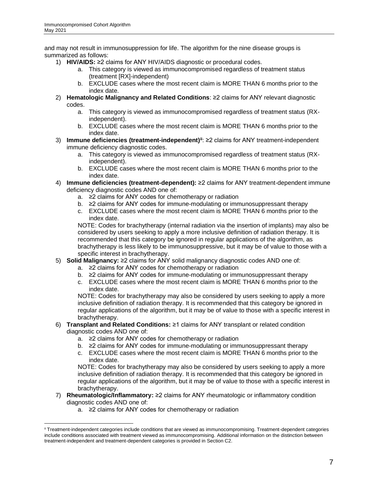and may not result in immunosuppression for life. The algorithm for the nine disease groups is summarized as follows:

- 1) **HIV/AIDS:** ≥2 claims for ANY HIV/AIDS diagnostic or procedural codes.
	- a. This category is viewed as immunocompromised regardless of treatment status (treatment [RX]-independent)
	- b. EXCLUDE cases where the most recent claim is MORE THAN 6 months prior to the index date.
- 2) **Hematologic Malignancy and Related Conditions**: ≥2 claims for ANY relevant diagnostic codes.
	- a. This category is viewed as immunocompromised regardless of treatment status (RXindependent).
	- b. EXCLUDE cases where the most recent claim is MORE THAN 6 months prior to the index date.
- 3) **Immune deficiencies (treatment-independent)ii**: ≥2 claims for ANY treatment-independent immune deficiency diagnostic codes.
	- a. This category is viewed as immunocompromised regardless of treatment status (RXindependent).
	- b. EXCLUDE cases where the most recent claim is MORE THAN 6 months prior to the index date.
- 4) **Immune deficiencies (treatment-dependent):** ≥2 claims for ANY treatment-dependent immune deficiency diagnostic codes AND one of:
	- a. ≥2 claims for ANY codes for chemotherapy or radiation
	- b. ≥2 claims for ANY codes for immune-modulating or immunosuppressant therapy
	- c. EXCLUDE cases where the most recent claim is MORE THAN 6 months prior to the index date.

NOTE: Codes for brachytherapy (internal radiation via the insertion of implants) may also be considered by users seeking to apply a more inclusive definition of radiation therapy. It is recommended that this category be ignored in regular applications of the algorithm, as brachytherapy is less likely to be immunosuppressive, but it may be of value to those with a specific interest in brachytherapy.

- 5) **Solid Malignancy:** ≥2 claims for ANY solid malignancy diagnostic codes AND one of:
	- a. ≥2 claims for ANY codes for chemotherapy or radiation
	- b. ≥2 claims for ANY codes for immune-modulating or immunosuppressant therapy
	- c. EXCLUDE cases where the most recent claim is MORE THAN 6 months prior to the index date.

NOTE: Codes for brachytherapy may also be considered by users seeking to apply a more inclusive definition of radiation therapy. It is recommended that this category be ignored in regular applications of the algorithm, but it may be of value to those with a specific interest in brachytherapy.

- 6) **Transplant and Related Conditions:** ≥1 claims for ANY transplant or related condition diagnostic codes AND one of:
	- a. ≥2 claims for ANY codes for chemotherapy or radiation
	- b. ≥2 claims for ANY codes for immune-modulating or immunosuppressant therapy
	- c. EXCLUDE cases where the most recent claim is MORE THAN 6 months prior to the index date.

NOTE: Codes for brachytherapy may also be considered by users seeking to apply a more inclusive definition of radiation therapy. It is recommended that this category be ignored in regular applications of the algorithm, but it may be of value to those with a specific interest in brachytherapy.

- 7) **Rheumatologic/Inflammatory:** ≥2 claims for ANY rheumatologic or inflammatory condition diagnostic codes AND one of:
	- a. ≥2 claims for ANY codes for chemotherapy or radiation

ii Treatment-independent categories include conditions that are viewed as immunocompromising. Treatment-dependent categories include conditions associated with treatment viewed as immunocompromising. Additional information on the distinction between treatment-independent and treatment-dependent categories is provided in Sectio[n C2.](#page-10-0)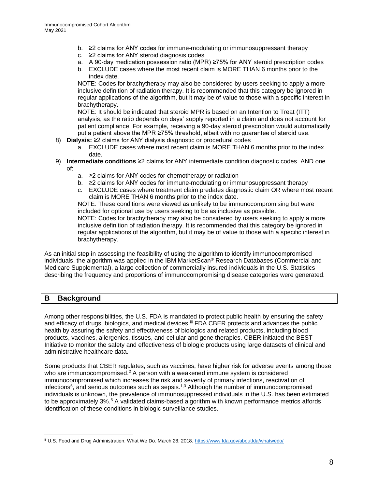- b. ≥2 claims for ANY codes for immune-modulating or immunosuppressant therapy
- c. ≥2 claims for ANY steroid diagnosis codes
- a. A 90-day medication possession ratio (MPR) ≥75% for ANY steroid prescription codes
- b. EXCLUDE cases where the most recent claim is MORE THAN 6 months prior to the index date.

NOTE: Codes for brachytherapy may also be considered by users seeking to apply a more inclusive definition of radiation therapy. It is recommended that this category be ignored in regular applications of the algorithm, but it may be of value to those with a specific interest in brachytherapy.

NOTE: It should be indicated that steroid MPR is based on an Intention to Treat (ITT) analysis, as the ratio depends on days' supply reported in a claim and does not account for patient compliance. For example, receiving a 90-day steroid prescription would automatically put a patient above the MPR ≥75% threshold, albeit with no guarantee of steroid use.

- 8) **Dialysis:** ≥2 claims for ANY dialysis diagnostic or procedural codes
	- a. EXCLUDE cases where most recent claim is MORE THAN 6 months prior to the index date.
- 9) **Intermediate conditions** ≥2 claims for ANY intermediate condition diagnostic codes AND one of:
	- a. ≥2 claims for ANY codes for chemotherapy or radiation
	- b. ≥2 claims for ANY codes for immune-modulating or immunosuppressant therapy
	- c. EXCLUDE cases where treatment claim predates diagnostic claim OR where most recent claim is MORE THAN 6 months prior to the index date.

NOTE: These conditions were viewed as unlikely to be immunocompromising but were included for optional use by users seeking to be as inclusive as possible.

NOTE: Codes for brachytherapy may also be considered by users seeking to apply a more inclusive definition of radiation therapy. It is recommended that this category be ignored in regular applications of the algorithm, but it may be of value to those with a specific interest in brachytherapy.

As an initial step in assessing the feasibility of using the algorithm to identify immunocompromised individuals, the algorithm was applied in the IBM MarketScan® Research Databases (Commercial and Medicare Supplemental), a large collection of commercially insured individuals in the U.S. Statistics describing the frequency and proportions of immunocompromising disease categories were generated.

#### <span id="page-7-0"></span>**B Background**

Among other responsibilities, the U.S. FDA is mandated to protect public health by ensuring the safety and efficacy of drugs, biologics, and medical devices.<sup>iii</sup> FDA CBER protects and advances the public health by assuring the safety and effectiveness of biologics and related products, including blood products, vaccines, allergenics, tissues, and cellular and gene therapies. CBER initiated the BEST Initiative to monitor the safety and effectiveness of biologic products using large datasets of clinical and administrative healthcare data.

Some products that CBER regulates, such as vaccines, have higher risk for adverse events among those who are immunocompromised.<sup>2</sup> A person with a weakened immune system is considered immunocompromised which increases the risk and severity of primary infections, reactivation of infections<sup>5</sup>, and serious outcomes such as sepsis.<sup>1,3</sup> Although the number of immunocompromised individuals is unknown, the prevalence of immunosuppressed individuals in the U.S. has been estimated to be approximately 3%.<sup>5</sup> A validated claims-based algorithm with known performance metrics affords identification of these conditions in biologic surveillance studies.

iii U.S. Food and Drug Administration. What We Do. March 28, 2018.<https://www.fda.gov/aboutfda/whatwedo/>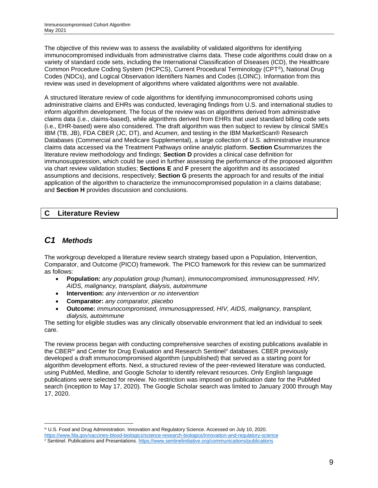The objective of this review was to assess the availability of validated algorithms for identifying immunocompromised individuals from administrative claims data. These code algorithms could draw on a variety of standard code sets, including the International Classification of Diseases (ICD), the Healthcare Common Procedure Coding System (HCPCS), Current Procedural Terminology (CPT®), National Drug Codes (NDCs), and Logical Observation Identifiers Names and Codes (LOINC). Information from this review was used in development of algorithms where validated algorithms were not available.

A structured literature review of code algorithms for identifying immunocompromised cohorts using administrative claims and EHRs was conducted, leveraging findings from U.S. and international studies to inform algorithm development. The focus of the review was on algorithms derived from administrative claims data (i.e., claims-based), while algorithms derived from EHRs that used standard billing code sets (i.e., EHR-based) were also considered. The draft algorithm was then subject to review by clinical SMEs IBM (TB, JB), FDA CBER (JC, DT), and Acumen, and testing in the IBM MarketScan® Research Databases (Commercial and Medicare Supplemental), a large collection of U.S. administrative insurance claims data accessed via the Treatment Pathways online analytic platform. **Section [C](#page-8-0)**summarizes the literature review methodology and findings; **Section [D](#page-16-0)** provides a clinical case definition for immunosuppression, which could be used in further assessing the performance of the proposed algorithm via chart review validation studies; **Sections [E](#page-16-1)** and **[F](#page-18-0)** present the algorithm and its associated assumptions and decisions, respectively; **Section [G](#page-21-2)** presents the approach for and results of the initial application of the algorithm to characterize the immunocompromised population in a claims database; and **Section [H](#page-32-0)** provides discussion and conclusions.

# <span id="page-8-0"></span>**C Literature Review**

# <span id="page-8-1"></span>*C1 Methods*

The workgroup developed a literature review search strategy based upon a Population, Intervention, Comparator, and Outcome (PICO) framework. The PICO framework for this review can be summarized as follows:

- **Population:** *any population group (human), immunocompromised, immunosuppressed, HIV, AIDS, malignancy, transplant, dialysis, autoimmune*
- **Intervention:** *any intervention or no intervention*
- **Comparator:** *any comparator, placebo*
- **Outcome:** *immunocompromised, immunosuppressed, HIV, AIDS, malignancy, transplant, dialysis, autoimmune*

The setting for eligible studies was any clinically observable environment that led an individual to seek care.

The review process began with conducting comprehensive searches of existing publications available in the CBER<sup>iv</sup> and Center for Drug Evaluation and Research Sentinel<sup>y</sup> databases. CBER previously developed a draft immunocompromised algorithm (unpublished) that served as a starting point for algorithm development efforts. Next, a structured review of the peer-reviewed literature was conducted, using PubMed, Medline, and Google Scholar to identify relevant resources. Only English language publications were selected for review. No restriction was imposed on publication date for the PubMed search (inception to May 17, 2020). The Google Scholar search was limited to January 2000 through May 17, 2020.

iv U.S. Food and Drug Administration. Innovation and Regulatory Science. Accessed on July 10, 2020.

<https://www.fda.gov/vaccines-blood-biologics/science-research-biologics/innovation-and-regulatory-science>

<sup>v</sup> Sentinel. Publications and Presentations. <https://www.sentinelinitiative.org/communications/publications>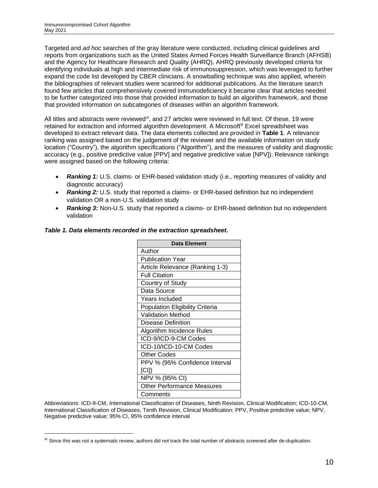Targeted and *ad hoc* searches of the gray literature were conducted, including clinical guidelines and reports from organizations such as the United States Armed Forces Health Surveillance Branch (AFHSB) and the Agency for Healthcare Research and Quality (AHRQ). AHRQ previously developed criteria for identifying individuals at high and intermediate risk of immunosuppression, which was leveraged to further expand the code list developed by CBER clinicians. A snowballing technique was also applied, wherein the bibliographies of relevant studies were scanned for additional publications. As the literature search found few articles that comprehensively covered immunodeficiency it became clear that articles needed to be further categorized into those that provided information to build an algorithm framework, and those that provided information on subcategories of diseases within an algorithm framework.

All titles and abstracts were reviewed<sup>vi</sup>, and 27 articles were reviewed in full text. Of these, 19 were retained for extraction and informed algorithm development. A Microsoft® Excel spreadsheet was developed to extract relevant data. The data elements collected are provided in **[Table 1](#page-9-0)**. A relevance ranking was assigned based on the judgement of the reviewer and the available information on study location ("Country"), the algorithm specifications ("Algorithm"), and the measures of validity and diagnostic accuracy (e.g., positive predictive value [PPV] and negative predictive value [NPV]). Relevance rankings were assigned based on the following criteria:

- **Ranking 1:** U.S. claims- or EHR-based validation study (i.e., reporting measures of validity and diagnostic accuracy)
- *Ranking 2:* U.S. study that reported a claims- or EHR-based definition but no independent validation OR a non-U.S. validation study
- **Ranking 3:** Non-U.S. study that reported a claims- or EHR-based definition but no independent validation

| Data Element                           |
|----------------------------------------|
| Author                                 |
| <b>Publication Year</b>                |
| Article Relevance (Ranking 1-3)        |
| <b>Full Citation</b>                   |
| Country of Study                       |
| Data Source                            |
| <b>Years Included</b>                  |
| <b>Population Eligibility Criteria</b> |
| <b>Validation Method</b>               |
| Disease Definition                     |
| Algorithm Incidence Rules              |
| ICD-9/ICD-9-CM Codes                   |
| ICD-10/ICD-10-CM Codes                 |
| Other Codes                            |
| PPV % (95% Confidence Interval         |
| [CI])                                  |
| NPV % (95% CI)                         |
| <b>Other Performance Measures</b>      |
| Comments                               |

#### <span id="page-9-0"></span>*Table 1. Data elements recorded in the extraction spreadsheet.*

Abbreviations: ICD-9-CM, International Classification of Diseases, Ninth Revision, Clinical Modification; ICD-10-CM, International Classification of Diseases, Tenth Revision, Clinical Modification; PPV, Positive predictive value; NPV, Negative predictive value; 95% CI, 95% confidence interval

vi Since this was not a systematic review, authors did not track the total number of abstracts screened after de-duplication.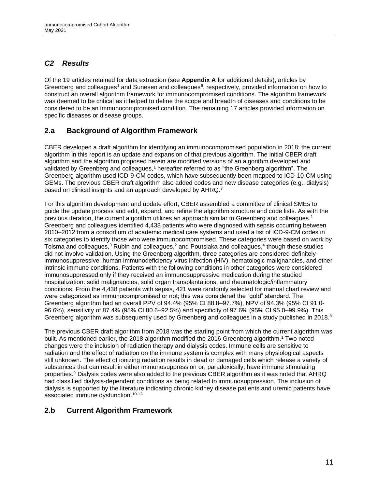# <span id="page-10-0"></span>*C2 Results*

Of the 19 articles retained for data extraction (see **[Appendix A](#page-36-0)** for additional details), articles by Greenberg and colleagues<sup>1</sup> and Sunesen and colleagues<sup>6</sup>, respectively, provided information on how to construct an overall algorithm framework for immunocompromised conditions. The algorithm framework was deemed to be critical as it helped to define the scope and breadth of diseases and conditions to be considered to be an immunocompromised condition. The remaining 17 articles provided information on specific diseases or disease groups.

#### <span id="page-10-1"></span>**2.a Background of Algorithm Framework**

CBER developed a draft algorithm for identifying an immunocompromised population in 2018; the current algorithm in this report is an update and expansion of that previous algorithm. The initial CBER draft algorithm and the algorithm proposed herein are modified versions of an algorithm developed and validated by Greenberg and colleagues,<sup>1</sup> hereafter referred to as "the Greenberg algorithm". The Greenberg algorithm used ICD-9-CM codes, which have subsequently been mapped to ICD-10-CM using GEMs. The previous CBER draft algorithm also added codes and new disease categories (e.g., dialysis) based on clinical insights and an approach developed by AHRQ.<sup>7</sup>

For this algorithm development and update effort, CBER assembled a committee of clinical SMEs to guide the update process and edit, expand, and refine the algorithm structure and code lists. As with the previous iteration, the current algorithm utilizes an approach similar to Greenberg and colleagues. 1 Greenberg and colleagues identified 4,438 patients who were diagnosed with sepsis occurring between 2010–2012 from a consortium of academic medical care systems and used a list of ICD-9-CM codes in six categories to identify those who were immunocompromised. These categories were based on work by Tolsma and colleagues,<sup>3</sup> Rubin and colleagues,<sup>2</sup> and Poutsiaka and colleagues,<sup>4</sup> though these studies did not involve validation. Using the Greenberg algorithm, three categories are considered definitely immunosuppressive: human immunodeficiency virus infection (HIV), hematologic malignancies, and other intrinsic immune conditions. Patients with the following conditions in other categories were considered immunosuppressed only if they received an immunosuppressive medication during the studied hospitalization: solid malignancies, solid organ transplantations, and rheumatologic/inflammatory conditions. From the 4,438 patients with sepsis, 421 were randomly selected for manual chart review and were categorized as immunocompromised or not; this was considered the "gold" standard. The Greenberg algorithm had an overall PPV of 94.4% (95% CI 88.8–97.7%), NPV of 94.3% (95% CI 91.0- 96.6%), sensitivity of 87.4% (95% CI 80.6–92.5%) and specificity of 97.6% (95% CI 95.0–99.9%). This Greenberg algorithm was subsequently used by Greenberg and colleagues in a study published in 2018.<sup>8</sup>

The previous CBER draft algorithm from 2018 was the starting point from which the current algorithm was built. As mentioned earlier, the 2018 algorithm modified the 2016 Greenberg algorithm.<sup>1</sup> Two noted changes were the inclusion of radiation therapy and dialysis codes. Immune cells are sensitive to radiation and the effect of radiation on the immune system is complex with many physiological aspects still unknown. The effect of ionizing radiation results in dead or damaged cells which release a variety of substances that can result in either immunosuppression or, paradoxically, have immune stimulating properties.<sup>9</sup> Dialysis codes were also added to the previous CBER algorithm as it was noted that AHRQ had classified dialysis-dependent conditions as being related to immunosuppression. The inclusion of dialysis is supported by the literature indicating chronic kidney disease patients and uremic patients have associated immune dysfunction.<sup>10-12</sup>

#### <span id="page-10-2"></span>**2.b Current Algorithm Framework**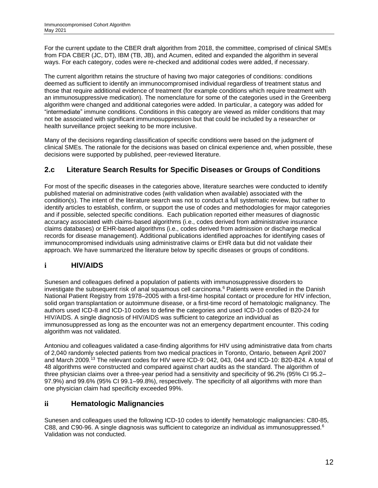For the current update to the CBER draft algorithm from 2018, the committee, comprised of clinical SMEs from FDA CBER (JC, DT), IBM (TB, JB), and Acumen, edited and expanded the algorithm in several ways. For each category, codes were re-checked and additional codes were added, if necessary.

The current algorithm retains the structure of having two major categories of conditions: conditions deemed as sufficient to identify an immunocompromised individual regardless of treatment status and those that require additional evidence of treatment (for example conditions which require treatment with an immunosuppressive medication). The nomenclature for some of the categories used in the Greenberg algorithm were changed and additional categories were added. In particular, a category was added for "intermediate" immune conditions. Conditions in this category are viewed as milder conditions that may not be associated with significant immunosuppression but that could be included by a researcher or health surveillance project seeking to be more inclusive.

Many of the decisions regarding classification of specific conditions were based on the judgment of clinical SMEs. The rationale for the decisions was based on clinical experience and, when possible, these decisions were supported by published, peer-reviewed literature.

# <span id="page-11-0"></span>**2.c Literature Search Results for Specific Diseases or Groups of Conditions**

For most of the specific diseases in the categories above, literature searches were conducted to identify published material on administrative codes (with validation when available) associated with the condition(s). The intent of the literature search was not to conduct a full systematic review, but rather to identify articles to establish, confirm, or support the use of codes and methodologies for major categories and if possible, selected specific conditions. Each publication reported either measures of diagnostic accuracy associated with claims-based algorithms (i.e., codes derived from administrative insurance claims databases) or EHR-based algorithms (i.e., codes derived from admission or discharge medical records for disease management). Additional publications identified approaches for identifying cases of immunocompromised individuals using administrative claims or EHR data but did not validate their approach. We have summarized the literature below by specific diseases or groups of conditions.

# **i HIV/AIDS**

Sunesen and colleagues defined a population of patients with immunosuppressive disorders to investigate the subsequent risk of anal squamous cell carcinoma.<sup>6</sup> Patients were enrolled in the Danish National Patient Registry from 1978–2005 with a first-time hospital contact or procedure for HIV infection, solid organ transplantation or autoimmune disease, or a first-time record of hematologic malignancy. The authors used ICD-8 and ICD-10 codes to define the categories and used ICD-10 codes of B20-24 for HIV/AIDS. A single diagnosis of HIV/AIDS was sufficient to categorize an individual as immunosuppressed as long as the encounter was not an emergency department encounter. This coding algorithm was not validated.

Antoniou and colleagues validated a case-finding algorithms for HIV using administrative data from charts of 2,040 randomly selected patients from two medical practices in Toronto, Ontario, between April 2007 and March 2009.<sup>13</sup> The relevant codes for HIV were ICD-9: 042, 043, 044 and ICD-10: B20-B24. A total of 48 algorithms were constructed and compared against chart audits as the standard. The algorithm of three physician claims over a three-year period had a sensitivity and specificity of 96.2% (95% CI 95.2– 97.9%) and 99.6% (95% CI 99.1–99.8%), respectively. The specificity of all algorithms with more than one physician claim had specificity exceeded 99%.

#### **ii Hematologic Malignancies**

Sunesen and colleagues used the following ICD-10 codes to identify hematologic malignancies: C80-85, C88, and C90-96. A single diagnosis was sufficient to categorize an individual as immunosuppressed.<sup>6</sup> Validation was not conducted.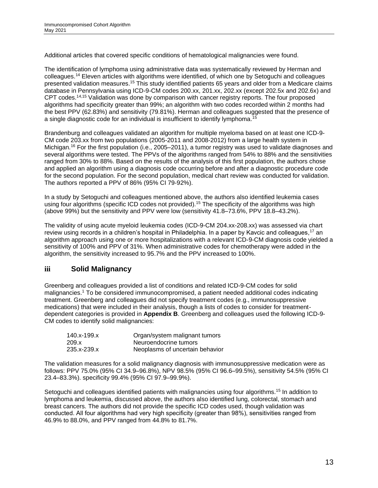Additional articles that covered specific conditions of hematological malignancies were found.

The identification of lymphoma using administrative data was systematically reviewed by Herman and colleagues. <sup>14</sup> Eleven articles with algorithms were identified, of which one by Setoguchi and colleagues presented validation measures.<sup>15</sup> This study identified patients 65 years and older from a Medicare claims database in Pennsylvania using ICD-9-CM codes 200.xx, 201.xx, 202.xx (except 202.5x and 202.6x) and CPT codes.<sup>14,15</sup> Validation was done by comparison with cancer registry reports. The four proposed algorithms had specificity greater than 99%; an algorithm with two codes recorded within 2 months had the best PPV (62.83%) and sensitivity (79.81%). Herman and colleagues suggested that the presence of a single diagnostic code for an individual is insufficient to identify lymphoma.<sup>15</sup>

Brandenburg and colleagues validated an algorithm for multiple myeloma based on at least one ICD-9- CM code 203.xx from two populations (2005-2011 and 2008-2012) from a large health system in Michigan.<sup>16</sup> For the first population (i.e., 2005–2011), a tumor registry was used to validate diagnoses and several algorithms were tested. The PPVs of the algorithms ranged from 54% to 88% and the sensitivities ranged from 30% to 88%. Based on the results of the analysis of this first population, the authors chose and applied an algorithm using a diagnosis code occurring before and after a diagnostic procedure code for the second population. For the second population, medical chart review was conducted for validation. The authors reported a PPV of 86% (95% CI 79‐92%).

In a study by Setoguchi and colleagues mentioned above, the authors also identified leukemia cases using four algorithms (specific ICD codes not provided).<sup>15</sup> The specificity of the algorithms was high (above 99%) but the sensitivity and PPV were low (sensitivity 41.8–73.6%, PPV 18.8–43.2%).

The validity of using acute myeloid leukemia codes (ICD-9-CM 204.xx-208.xx) was assessed via chart review using records in a children's hospital in Philadelphia. In a paper by Kavcic and colleagues,<sup>17</sup> an algorithm approach using one or more hospitalizations with a relevant ICD-9-CM diagnosis code yielded a sensitivity of 100% and PPV of 31%. When administrative codes for chemotherapy were added in the algorithm, the sensitivity increased to 95.7% and the PPV increased to 100%.

#### **iii Solid Malignancy**

Greenberg and colleagues provided a list of conditions and related ICD-9-CM codes for solid malignancies.<sup>1</sup> To be considered immunocompromised, a patient needed additional codes indicating treatment. Greenberg and colleagues did not specify treatment codes (e.g., immunosuppressive medications) that were included in their analysis, though a lists of codes to consider for treatmentdependent categories is provided in **[Appendix B](#page-51-0)**. Greenberg and colleagues used the following ICD-9- CM codes to identify solid malignancies:

| 140.x-199.x | Organ/system malignant tumors   |
|-------------|---------------------------------|
| 209.x       | Neuroendocrine tumors           |
| 235.x-239.x | Neoplasms of uncertain behavior |

The validation measures for a solid malignancy diagnosis with immunosuppressive medication were as follows: PPV 75.0% (95% CI 34.9–96.8%), NPV 98.5% (95% CI 96.6–99.5%), sensitivity 54.5% (95% CI 23.4–83.3%). specificity 99.4% (95% CI 97.9–99.9%).

Setoguchi and colleagues identified patients with malignancies using four algorithms.<sup>15</sup> In addition to lymphoma and leukemia, discussed above, the authors also identified lung, colorectal, stomach and breast cancers. The authors did not provide the specific ICD codes used, though validation was conducted. All four algorithms had very high specificity (greater than 98%), sensitivities ranged from 46.9% to 88.0%, and PPV ranged from 44.8% to 81.7%.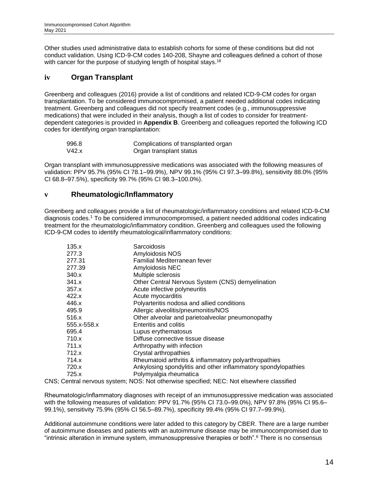Other studies used administrative data to establish cohorts for some of these conditions but did not conduct validation. Using ICD-9-CM codes 140-208, Shayne and colleagues defined a cohort of those with cancer for the purpose of studying length of hospital stays.<sup>18</sup>

#### **iv Organ Transplant**

Greenberg and colleagues (2016) provide a list of conditions and related ICD-9-CM codes for organ transplantation. To be considered immunocompromised, a patient needed additional codes indicating treatment. Greenberg and colleagues did not specify treatment codes (e.g., immunosuppressive medications) that were included in their analysis, though a list of codes to consider for treatmentdependent categories is provided in **[Appendix B](#page-51-0)**. Greenberg and colleagues reported the following ICD codes for identifying organ transplantation:

| 996.8 | Complications of transplanted organ |
|-------|-------------------------------------|
| V42.x | Organ transplant status             |

Organ transplant with immunosuppressive medications was associated with the following measures of validation: PPV 95.7% (95% CI 78.1–99.9%), NPV 99.1% (95% CI 97.3–99.8%), sensitivity 88.0% (95% CI 68.8–97.5%), specificity 99.7% (95% CI 98.3–100.0%).

#### **v Rheumatologic/Inflammatory**

Greenberg and colleagues provide a list of rheumatologic/inflammatory conditions and related ICD-9-CM diagnosis codes.<sup>1</sup> To be considered immunocompromised, a patient needed additional codes indicating treatment for the rheumatologic/inflammatory condition. Greenberg and colleagues used the following ICD-9-CM codes to identify rheumatological/inflammatory conditions:

| 135.x       | Sarcoidosis                                                   |
|-------------|---------------------------------------------------------------|
| 277.3       | Amyloidosis NOS                                               |
| 277.31      | Familial Mediterranean fever                                  |
| 277.39      | Amyloidosis NEC                                               |
| 340.x       | Multiple sclerosis                                            |
| 341.x       | Other Central Nervous System (CNS) demyelination              |
| 357.x       | Acute infective polyneuritis                                  |
| 422.x       | Acute myocarditis                                             |
| 446.x       | Polyarteritis nodosa and allied conditions                    |
| 495.9       | Allergic alveolitis/pneumonitis/NOS                           |
| 516.x       | Other alveolar and parietoalveolar pneumonopathy              |
| 555.x-558.x | Enteritis and colitis                                         |
| 695.4       | Lupus erythematosus                                           |
| 710.x       | Diffuse connective tissue disease                             |
| 711.x       | Arthropathy with infection                                    |
| 712.x       | Crystal arthropathies                                         |
| 714.x       | Rheumatoid arthritis & inflammatory polyarthropathies         |
| 720.x       | Ankylosing spondylitis and other inflammatory spondylopathies |
| 725.x       | Polymyalgia rheumatica                                        |
|             |                                                               |

CNS; Central nervous system; NOS: Not otherwise specified; NEC: Not elsewhere classified

Rheumatologic/inflammatory diagnoses with receipt of an immunosuppressive medication was associated with the following measures of validation: PPV 91.7% (95% CI 73.0–99.0%), NPV 97.8% (95% CI 95.6– 99.1%), sensitivity 75.9% (95% CI 56.5–89.7%), specificity 99.4% (95% CI 97.7–99.9%).

Additional autoimmune conditions were later added to this category by CBER. There are a large number of autoimmune diseases and patients with an autoimmune disease may be immunocompromised due to "intrinsic alteration in immune system, immunosuppressive therapies or both".<sup>6</sup> There is no consensus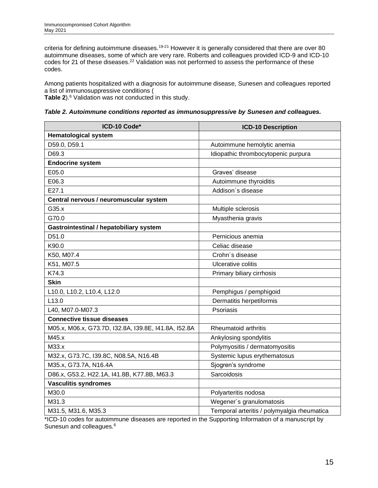criteria for defining autoimmune diseases.<sup>19-21</sup> However it is generally considered that there are over 80 autoimmune diseases, some of which are very rare. Roberts and colleagues provided ICD-9 and ICD-10 codes for 21 of these diseases.<sup>22</sup> Validation was not performed to assess the performance of these codes.

Among patients hospitalized with a diagnosis for autoimmune disease, Sunesen and colleagues reported a list of immunosuppressive conditions [\(](#page-14-1)

<span id="page-14-1"></span>**[Table 2](#page-14-1)**). <sup>6</sup> Validation was not conducted in this study.

<span id="page-14-0"></span>

| Table 2. Autoimmune conditions reported as immunosuppressive by Sunesen and colleagues. |  |  |  |
|-----------------------------------------------------------------------------------------|--|--|--|
|-----------------------------------------------------------------------------------------|--|--|--|

| ICD-10 Code*                                         | <b>ICD-10 Description</b>                   |  |  |  |
|------------------------------------------------------|---------------------------------------------|--|--|--|
| <b>Hematological system</b>                          |                                             |  |  |  |
| D59.0, D59.1                                         | Autoimmune hemolytic anemia                 |  |  |  |
| D69.3                                                | Idiopathic thrombocytopenic purpura         |  |  |  |
| <b>Endocrine system</b>                              |                                             |  |  |  |
| E05.0                                                | Graves' disease                             |  |  |  |
| E06.3                                                | Autoimmune thyroiditis                      |  |  |  |
| E27.1                                                | Addison's disease                           |  |  |  |
| Central nervous / neuromuscular system               |                                             |  |  |  |
| G35.x                                                | Multiple sclerosis                          |  |  |  |
| G70.0                                                | Myasthenia gravis                           |  |  |  |
| Gastrointestinal / hepatobiliary system              |                                             |  |  |  |
| D51.0                                                | Pernicious anemia                           |  |  |  |
| K90.0                                                | Celiac disease                              |  |  |  |
| K50, M07.4                                           | Crohn's disease                             |  |  |  |
| K51, M07.5                                           | Ulcerative colitis                          |  |  |  |
| K74.3                                                | Primary biliary cirrhosis                   |  |  |  |
| <b>Skin</b>                                          |                                             |  |  |  |
| L10.0, L10.2, L10.4, L12.0                           | Pemphigus / pemphigoid                      |  |  |  |
| L <sub>13.0</sub>                                    | Dermatitis herpetiformis                    |  |  |  |
| L40, M07.0-M07.3                                     | Psoriasis                                   |  |  |  |
| <b>Connective tissue diseases</b>                    |                                             |  |  |  |
| M05.x, M06.x, G73.7D, I32.8A, I39.8E, I41.8A, I52.8A | Rheumatoid arthritis                        |  |  |  |
| M45.x                                                | Ankylosing spondylitis                      |  |  |  |
| M33.x                                                | Polymyositis / dermatomyositis              |  |  |  |
| M32.x, G73.7C, I39.8C, N08.5A, N16.4B                | Systemic lupus erythematosus                |  |  |  |
| M35.x, G73.7A, N16.4A                                | Sjogren's syndrome                          |  |  |  |
| D86.x, G53.2, H22.1A, I41.8B, K77.8B, M63.3          | Sarcoidosis                                 |  |  |  |
| <b>Vasculitis syndromes</b>                          |                                             |  |  |  |
| M30.0                                                | Polyarteritis nodosa                        |  |  |  |
| M31.3                                                | Wegener's granulomatosis                    |  |  |  |
| M31.5, M31.6, M35.3                                  | Temporal arteritis / polymyalgia rheumatica |  |  |  |

\*ICD-10 codes for autoimmune diseases are reported in the Supporting Information of a manuscript by Sunesun and colleagues.<sup>6</sup>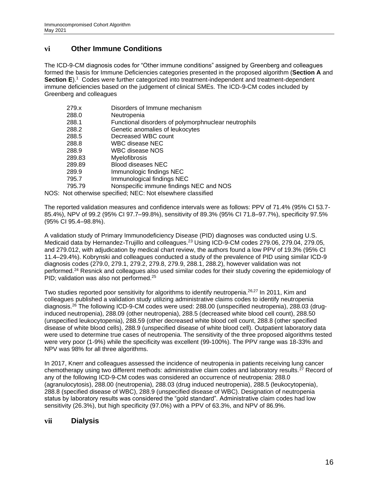#### **vi Other Immune Conditions**

The ICD-9-CM diagnosis codes for "Other immune conditions" assigned by Greenberg and colleagues formed the basis for Immune Deficiencies categories presented in the proposed algorithm (**Section [A](#page-5-0)** and Section [E](#page-16-1)).<sup>1</sup> Codes were further categorized into treatment-independent and treatment-dependent immune deficiencies based on the judgement of clinical SMEs. The ICD-9-CM codes included by Greenberg and colleagues

| 279.x  | Disorders of Immune mechanism                               |
|--------|-------------------------------------------------------------|
| 288.0  | Neutropenia                                                 |
| 288.1  | Functional disorders of polymorphnuclear neutrophils        |
| 288.2  | Genetic anomalies of leukocytes                             |
| 288.5  | Decreased WBC count                                         |
| 288.8  | WBC disease NEC                                             |
| 288.9  | WBC disease NOS                                             |
| 289.83 | <b>Myelofibrosis</b>                                        |
| 289.89 | <b>Blood diseases NEC</b>                                   |
| 289.9  | Immunologic findings NEC                                    |
| 795.7  | Immunological findings NEC                                  |
| 795.79 | Nonspecific immune findings NEC and NOS                     |
|        | NOS: Not otherwise specified; NEC: Not elsewhere classified |

The reported validation measures and confidence intervals were as follows: PPV of 71.4% (95% CI 53.7- 85.4%), NPV of 99.2 (95% CI 97.7–99.8%), sensitivity of 89.3% (95% CI 71.8–97.7%), specificity 97.5% (95% CI 95.4–98.8%).

A validation study of Primary Immunodeficiency Disease (PID) diagnoses was conducted using U.S. Medicaid data by Hernandez-Trujillo and colleagues.<sup>23</sup> Using ICD-9-CM codes 279.06, 279.04, 279.05, and 279.012, with adjudication by medical chart review, the authors found a low PPV of 19.3% (95% CI 11.4–29.4%). Kobrynski and colleagues conducted a study of the prevalence of PID using similar ICD-9 diagnosis codes (279.0, 279.1, 279.2, 279.8, 279.9, 288.1, 288.2), however validation was not performed.<sup>24</sup> Resnick and colleagues also used similar codes for their study covering the epidemiology of PID; validation was also not performed.<sup>25</sup>

Two studies reported poor sensitivity for algorithms to identify neutropenia.<sup>26,27</sup> In 2011, Kim and colleagues published a validation study utilizing administrative claims codes to identify neutropenia diagnosis.<sup>26</sup> The following ICD-9-CM codes were used: 288.00 (unspecified neutropenia), 288.03 (druginduced neutropenia), 288.09 (other neutropenia), 288.5 (decreased white blood cell count), 288.50 (unspecified leukocytopenia), 288.59 (other decreased white blood cell count, 288.8 (other specified disease of white blood cells), 288.9 (unspecified disease of white blood cell). Outpatient laboratory data were used to determine true cases of neutropenia. The sensitivity of the three proposed algorithms tested were very poor (1-9%) while the specificity was excellent (99-100%). The PPV range was 18-33% and NPV was 98% for all three algorithms.

In 2017, Knerr and colleagues assessed the incidence of neutropenia in patients receiving lung cancer chemotherapy using two different methods: administrative claim codes and laboratory results.<sup>27</sup> Record of any of the following ICD-9-CM codes was considered an occurrence of neutropenia: 288.0 (agranulocytosis), 288.00 (neutropenia), 288.03 (drug induced neutropenia), 288.5 (leukocytopenia), 288.8 (specified disease of WBC), 288.9 (unspecified disease of WBC). Designation of neutropenia status by laboratory results was considered the "gold standard". Administrative claim codes had low sensitivity (26.3%), but high specificity (97.0%) with a PPV of 63.3%, and NPV of 86.9%.

#### **vii Dialysis**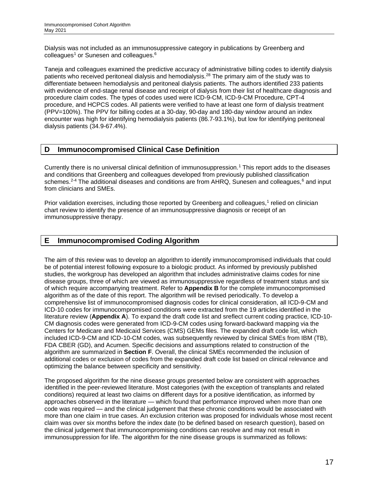Dialysis was not included as an immunosuppressive category in publications by Greenberg and colleagues<sup>1</sup> or Sunesen and colleagues.<sup>6</sup>

Taneja and colleagues examined the predictive accuracy of administrative billing codes to identify dialysis patients who received peritoneal dialysis and hemodialysis.<sup>28</sup> The primary aim of the study was to differentiate between hemodialysis and peritoneal dialysis patients. The authors identified 233 patients with evidence of end-stage renal disease and receipt of dialysis from their list of healthcare diagnosis and procedure claim codes. The types of codes used were ICD-9-CM, ICD-9-CM Procedure, CPT-4 procedure, and HCPCS codes. All patients were verified to have at least one form of dialysis treatment (PPV=100%). The PPV for billing codes at a 30-day, 90-day and 180-day window around an index encounter was high for identifying hemodialysis patients (86.7-93.1%), but low for identifying peritoneal dialysis patients (34.9-67.4%).

#### <span id="page-16-0"></span>**D Immunocompromised Clinical Case Definition**

Currently there is no universal clinical definition of immunosuppression.<sup>1</sup> This report adds to the diseases and conditions that Greenberg and colleagues developed from previously published classification schemes.<sup>2-4</sup> The additional diseases and conditions are from AHRQ, Sunesen and colleagues,<sup>6</sup> and input from clinicians and SMEs.

Prior validation exercises, including those reported by Greenberg and colleagues,<sup>1</sup> relied on clinician chart review to identify the presence of an immunosuppressive diagnosis or receipt of an immunosuppressive therapy.

#### <span id="page-16-1"></span>**E Immunocompromised Coding Algorithm**

The aim of this review was to develop an algorithm to identify immunocompromised individuals that could be of potential interest following exposure to a biologic product. As informed by previously published studies, the workgroup has developed an algorithm that includes administrative claims codes for nine disease groups, three of which are viewed as immunosuppressive regardless of treatment status and six of which require accompanying treatment. Refer to **[Appendix B](#page-51-0)** for the complete immunocompromised algorithm as of the date of this report. The algorithm will be revised periodically. To develop a comprehensive list of immunocompromised diagnosis codes for clinical consideration, all ICD-9-CM and ICD-10 codes for immunocompromised conditions were extracted from the 19 articles identified in the literature review (**[Appendix A](#page-36-0)**). To expand the draft code list and sreflect current coding practice, ICD-10- CM diagnosis codes were generated from ICD-9-CM codes using forward-backward mapping via the Centers for Medicare and Medicaid Services (CMS) GEMs files. The expanded draft code list, which included ICD-9-CM and ICD-10-CM codes, was subsequently reviewed by clinical SMEs from IBM (TB), FDA CBER (GD), and Acumen. Specific decisions and assumptions related to construction of the algorithm are summarized in **Section [F](#page-18-0)**. Overall, the clinical SMEs recommended the inclusion of additional codes or exclusion of codes from the expanded draft code list based on clinical relevance and optimizing the balance between specificity and sensitivity.

The proposed algorithm for the nine disease groups presented below are consistent with approaches identified in the peer-reviewed literature. Most categories (with the exception of transplants and related conditions) required at least two claims on different days for a positive identification, as informed by approaches observed in the literature — which found that performance improved when more than one code was required — and the clinical judgement that these chronic conditions would be associated with more than one claim in true cases. An exclusion criterion was proposed for individuals whose most recent claim was over six months before the index date (to be defined based on research question), based on the clinical judgement that immunocompromising conditions can resolve and may not result in immunosuppression for life. The algorithm for the nine disease groups is summarized as follows: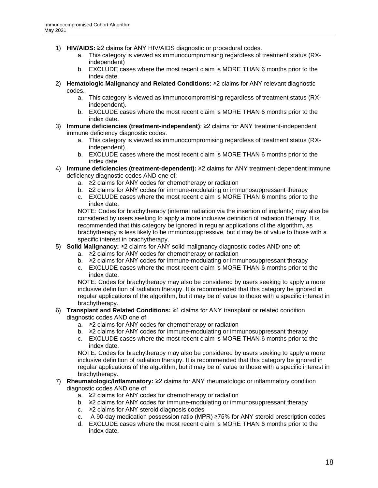- 1) **HIV/AIDS:** ≥2 claims for ANY HIV/AIDS diagnostic or procedural codes.
	- a. This category is viewed as immunocompromising regardless of treatment status (RXindependent)
	- b. EXCLUDE cases where the most recent claim is MORE THAN 6 months prior to the index date.
- 2) **Hematologic Malignancy and Related Conditions**: ≥2 claims for ANY relevant diagnostic codes.
	- a. This category is viewed as immunocompromising regardless of treatment status (RXindependent).
	- b. EXCLUDE cases where the most recent claim is MORE THAN 6 months prior to the index date.
- 3) **Immune deficiencies (treatment-independent)**: ≥2 claims for ANY treatment-independent immune deficiency diagnostic codes.
	- a. This category is viewed as immunocompromising regardless of treatment status (RXindependent).
	- b. EXCLUDE cases where the most recent claim is MORE THAN 6 months prior to the index date.
- 4) **Immune deficiencies (treatment-dependent):** ≥2 claims for ANY treatment-dependent immune deficiency diagnostic codes AND one of:
	- a. ≥2 claims for ANY codes for chemotherapy or radiation
	- b. ≥2 claims for ANY codes for immune-modulating or immunosuppressant therapy
	- c. EXCLUDE cases where the most recent claim is MORE THAN 6 months prior to the index date.

NOTE: Codes for brachytherapy (internal radiation via the insertion of implants) may also be considered by users seeking to apply a more inclusive definition of radiation therapy. It is recommended that this category be ignored in regular applications of the algorithm, as brachytherapy is less likely to be immunosuppressive, but it may be of value to those with a specific interest in brachytherapy.

- 5) **Solid Malignancy:** ≥2 claims for ANY solid malignancy diagnostic codes AND one of:
	- a. ≥2 claims for ANY codes for chemotherapy or radiation
	- b. ≥2 claims for ANY codes for immune-modulating or immunosuppressant therapy
	- c. EXCLUDE cases where the most recent claim is MORE THAN 6 months prior to the index date.

NOTE: Codes for brachytherapy may also be considered by users seeking to apply a more inclusive definition of radiation therapy. It is recommended that this category be ignored in regular applications of the algorithm, but it may be of value to those with a specific interest in brachytherapy.

- 6) **Transplant and Related Conditions:** ≥1 claims for ANY transplant or related condition diagnostic codes AND one of:
	- a. ≥2 claims for ANY codes for chemotherapy or radiation
	- b. ≥2 claims for ANY codes for immune-modulating or immunosuppressant therapy
	- c. EXCLUDE cases where the most recent claim is MORE THAN 6 months prior to the index date.

NOTE: Codes for brachytherapy may also be considered by users seeking to apply a more inclusive definition of radiation therapy. It is recommended that this category be ignored in regular applications of the algorithm, but it may be of value to those with a specific interest in brachytherapy.

- 7) **Rheumatologic/Inflammatory:** ≥2 claims for ANY rheumatologic or inflammatory condition diagnostic codes AND one of:
	- a. ≥2 claims for ANY codes for chemotherapy or radiation
	- b. ≥2 claims for ANY codes for immune-modulating or immunosuppressant therapy
	- c. ≥2 claims for ANY steroid diagnosis codes
	- c. A 90-day medication possession ratio (MPR) ≥75% for ANY steroid prescription codes
	- d. EXCLUDE cases where the most recent claim is MORE THAN 6 months prior to the index date.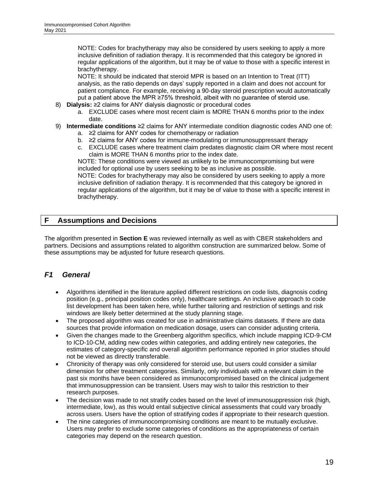NOTE: Codes for brachytherapy may also be considered by users seeking to apply a more inclusive definition of radiation therapy. It is recommended that this category be ignored in regular applications of the algorithm, but it may be of value to those with a specific interest in brachytherapy.

NOTE: It should be indicated that steroid MPR is based on an Intention to Treat (ITT) analysis, as the ratio depends on days' supply reported in a claim and does not account for patient compliance. For example, receiving a 90-day steroid prescription would automatically put a patient above the MPR ≥75% threshold, albeit with no guarantee of steroid use.

- 8) **Dialysis:** ≥2 claims for ANY dialysis diagnostic or procedural codes
	- a. EXCLUDE cases where most recent claim is MORE THAN 6 months prior to the index date.
- 9) **Intermediate conditions** ≥2 claims for ANY intermediate condition diagnostic codes AND one of:
	- a. ≥2 claims for ANY codes for chemotherapy or radiation
	- b. ≥2 claims for ANY codes for immune-modulating or immunosuppressant therapy
	- c. EXCLUDE cases where treatment claim predates diagnostic claim OR where most recent claim is MORE THAN 6 months prior to the index date.

NOTE: These conditions were viewed as unlikely to be immunocompromising but were included for optional use by users seeking to be as inclusive as possible.

NOTE: Codes for brachytherapy may also be considered by users seeking to apply a more inclusive definition of radiation therapy. It is recommended that this category be ignored in regular applications of the algorithm, but it may be of value to those with a specific interest in brachytherapy.

#### <span id="page-18-0"></span>**F Assumptions and Decisions**

The algorithm presented in **Section [E](#page-16-1)** was reviewed internally as well as with CBER stakeholders and partners. Decisions and assumptions related to algorithm construction are summarized below. Some of these assumptions may be adjusted for future research questions.

#### <span id="page-18-1"></span>*F1 General*

- Algorithms identified in the literature applied different restrictions on code lists, diagnosis coding position (e.g., principal position codes only), healthcare settings. An inclusive approach to code list development has been taken here, while further tailoring and restriction of settings and risk windows are likely better determined at the study planning stage.
- The proposed algorithm was created for use in administrative claims datasets. If there are data sources that provide information on medication dosage, users can consider adjusting criteria.
- Given the changes made to the Greenberg algorithm specifics, which include mapping ICD-9-CM to ICD-10-CM, adding new codes within categories, and adding entirely new categories, the estimates of category-specific and overall algorithm performance reported in prior studies should not be viewed as directly transferable.
- Chronicity of therapy was only considered for steroid use, but users could consider a similar dimension for other treatment categories. Similarly, only individuals with a relevant claim in the past six months have been considered as immunocompromised based on the clinical judgement that immunosuppression can be transient. Users may wish to tailor this restriction to their research purposes.
- The decision was made to not stratify codes based on the level of immunosuppression risk (high, intermediate, low), as this would entail subjective clinical assessments that could vary broadly across users. Users have the option of stratifying codes if appropriate to their research question.
- The nine categories of immunocompromising conditions are meant to be mutually exclusive. Users may prefer to exclude some categories of conditions as the appropriateness of certain categories may depend on the research question.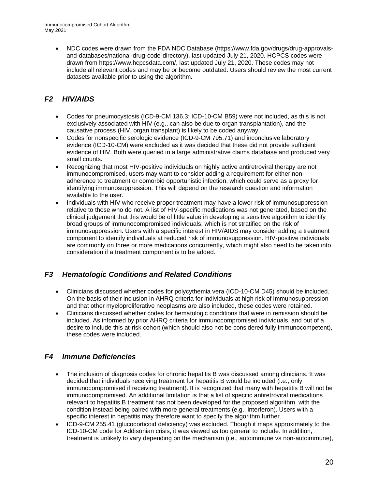• NDC codes were drawn from the FDA NDC Database (https://www.fda.gov/drugs/drug-approvalsand-databases/national-drug-code-directory), last updated July 21, 2020. HCPCS codes were drawn from https://www.hcpcsdata.com/, last updated July 21, 2020. These codes may not include all relevant codes and may be or become outdated. Users should review the most current datasets available prior to using the algorithm.

# <span id="page-19-0"></span>*F2 HIV/AIDS*

- Codes for pneumocystosis (ICD-9-CM 136.3; ICD-10-CM B59) were not included, as this is not exclusively associated with HIV (e.g., can also be due to organ transplantation), and the causative process (HIV, organ transplant) is likely to be coded anyway.
- Codes for nonspecific serologic evidence (ICD-9-CM 795.71) and inconclusive laboratory evidence (ICD-10-CM) were excluded as it was decided that these did not provide sufficient evidence of HIV. Both were queried in a large administrative claims database and produced very small counts.
- Recognizing that most HIV-positive individuals on highly active antiretroviral therapy are not immunocompromised, users may want to consider adding a requirement for either nonadherence to treatment or comorbid opportunistic infection, which could serve as a proxy for identifying immunosuppression. This will depend on the research question and information available to the user.
- Individuals with HIV who receive proper treatment may have a lower risk of immunosuppression relative to those who do not. A list of HIV-specific medications was not generated, based on the clinical judgement that this would be of little value in developing a sensitive algorithm to identify broad groups of immunocompromised individuals, which is not stratified on the risk of immunosuppression. Users with a specific interest in HIV/AIDS may consider adding a treatment component to identify individuals at reduced risk of immunosuppression. HIV-positive individuals are commonly on three or more medications concurrently, which might also need to be taken into consideration if a treatment component is to be added.

# <span id="page-19-1"></span>*F3 Hematologic Conditions and Related Conditions*

- Clinicians discussed whether codes for polycythemia vera (ICD-10-CM D45) should be included. On the basis of their inclusion in AHRQ criteria for individuals at high risk of immunosuppression and that other myeloproliferative neoplasms are also included, these codes were retained.
- Clinicians discussed whether codes for hematologic conditions that were in remission should be included. As informed by prior AHRQ criteria for immunocompromised individuals, and out of a desire to include this at-risk cohort (which should also not be considered fully immunocompetent), these codes were included.

# <span id="page-19-2"></span>*F4 Immune Deficiencies*

- The inclusion of diagnosis codes for chronic hepatitis B was discussed among clinicians. It was decided that individuals receiving treatment for hepatitis B would be included (i.e., only immunocompromised if receiving treatment). It is recognized that many with hepatitis B will not be immunocompromised. An additional limitation is that a list of specific antiretroviral medications relevant to hepatitis B treatment has not been developed for the proposed algorithm, with the condition instead being paired with more general treatments (e.g., interferon). Users with a specific interest in hepatitis may therefore want to specify the algorithm further.
- ICD-9-CM 255.41 (glucocorticoid deficiency) was excluded. Though it maps approximately to the ICD-10-CM code for Addisonian crisis, it was viewed as too general to include. In addition, treatment is unlikely to vary depending on the mechanism (i.e., autoimmune vs non-autoimmune),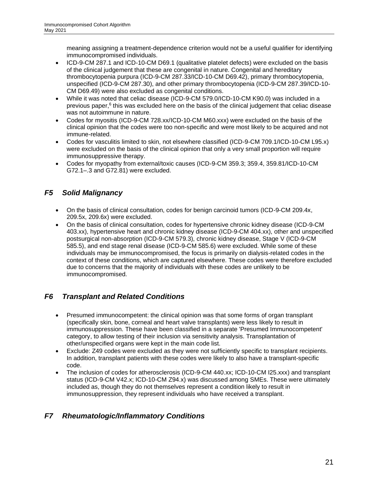meaning assigning a treatment-dependence criterion would not be a useful qualifier for identifying immunocompromised individuals.

- ICD-9-CM 287.1 and ICD-10-CM D69.1 (qualitative platelet defects) were excluded on the basis of the clinical judgement that these are congenital in nature. Congenital and hereditary thrombocytopenia purpura (ICD-9-CM 287.33/ICD-10-CM D69.42), primary thrombocytopenia, unspecified (ICD-9-CM 287.30), and other primary thrombocytopenia (ICD-9-CM 287.39/ICD-10- CM D69.49) were also excluded as congenital conditions.
- While it was noted that celiac disease (ICD-9-CM 579.0/ICD-10-CM K90.0) was included in a previous paper,<sup>6</sup> this was excluded here on the basis of the clinical judgement that celiac disease was not autoimmune in nature.
- Codes for myositis (ICD-9-CM 728.xx/ICD-10-CM M60.xxx) were excluded on the basis of the clinical opinion that the codes were too non-specific and were most likely to be acquired and not immune-related.
- Codes for vasculitis limited to skin, not elsewhere classified (ICD-9-CM 709.1/ICD-10-CM L95.x) were excluded on the basis of the clinical opinion that only a very small proportion will require immunosuppressive therapy.
- Codes for myopathy from external/toxic causes (ICD-9-CM 359.3; 359.4, 359.81/ICD-10-CM G72.1–.3 and G72.81) were excluded.

# <span id="page-20-0"></span>*F5 Solid Malignancy*

- On the basis of clinical consultation, codes for benign carcinoid tumors (ICD-9-CM 209.4x, 209.5x, 209.6x) were excluded.
- On the basis of clinical consultation, codes for hypertensive chronic kidney disease (ICD-9-CM 403.xx), hypertensive heart and chronic kidney disease (ICD-9-CM 404.xx), other and unspecified postsurgical non-absorption (ICD-9-CM 579.3), chronic kidney disease, Stage V (ICD-9-CM 585.5), and end stage renal disease (ICD-9-CM 585.6) were excluded. While some of these individuals may be immunocompromised, the focus is primarily on dialysis-related codes in the context of these conditions, which are captured elsewhere. These codes were therefore excluded due to concerns that the majority of individuals with these codes are unlikely to be immunocompromised.

# <span id="page-20-1"></span>*F6 Transplant and Related Conditions*

- Presumed immunocompetent: the clinical opinion was that some forms of organ transplant (specifically skin, bone, corneal and heart valve transplants) were less likely to result in immunosuppression. These have been classified in a separate 'Presumed Immunocompetent' category, to allow testing of their inclusion via sensitivity analysis. Transplantation of other/unspecified organs were kept in the main code list.
- Exclude: Z49 codes were excluded as they were not sufficiently specific to transplant recipients. In addition, transplant patients with these codes were likely to also have a transplant-specific code.
- The inclusion of codes for atherosclerosis (ICD-9-CM 440.xx; ICD-10-CM I25.xxx) and transplant status (ICD-9-CM V42.x; ICD-10-CM Z94.x) was discussed among SMEs. These were ultimately included as, though they do not themselves represent a condition likely to result in immunosuppression, they represent individuals who have received a transplant.

# <span id="page-20-2"></span>*F7 Rheumatologic/Inflammatory Conditions*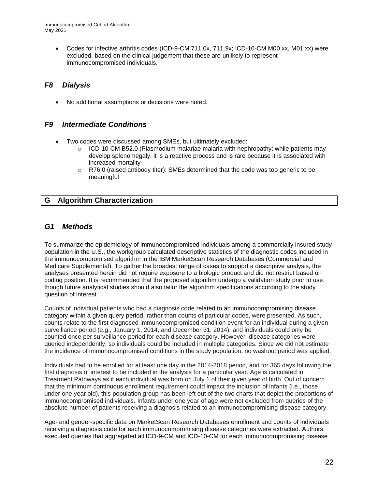• Codes for infective arthritis codes (ICD-9-CM 711.0x, 711.9x; ICD-10-CM M00.xx, M01.xx) were excluded, based on the clinical judgement that these are unlikely to represent immunocompromised individuals.

# <span id="page-21-0"></span>*F8 Dialysis*

No additional assumptions or decisions were noted.

#### <span id="page-21-1"></span>*F9 Intermediate Conditions*

- Two codes were discussed among SMEs, but ultimately excluded:
	- $\circ$  ICD-10-CM B52.0 (Plasmodium malariae malaria with nephropathy: while patients may develop splenomegaly, it is a reactive process and is rare because it is associated with increased mortality
	- $\circ$  R76.0 (raised antibody titer): SMEs determined that the code was too generic to be meaningful

#### <span id="page-21-2"></span>**G Algorithm Characterization**

#### <span id="page-21-3"></span>*G1 Methods*

To summarize the epidemiology of immunocompromised individuals among a commercially insured study population in the U.S., the workgroup calculated descriptive statistics of the diagnostic codes included in the immunocompromised algorithm in the IBM MarketScan Research Databases (Commercial and Medicare Supplemental). To gather the broadest range of cases to support a descriptive analysis, the analyses presented herein did not require exposure to a biologic product and did not restrict based on coding position. It is recommended that the proposed algorithm undergo a validation study prior to use, though future analytical studies should also tailor the algorithm specifications according to the study question of interest.

Counts of individual patients who had a diagnosis code related to an immunocompromising disease category within a given query period, rather than counts of particular codes, were presented. As such, counts relate to the first diagnosed immunocompromised condition event for an individual during a given surveillance period (e.g., January 1, 2014, and December 31, 2014), and individuals could only be counted once per surveillance period for each disease category. However, disease categories were queried independently, so individuals could be included in multiple categories. Since we did not estimate the incidence of immunocompromised conditions in the study population, no washout period was applied.

Individuals had to be enrolled for at least one day in the 2014-2018 period, and for 365 days following the first diagnosis of interest to be included in the analysis for a particular year. Age is calculated in Treatment Pathways as if each individual was born on July 1 of their given year of birth. Out of concern that the minimum continuous enrollment requirement could impact the inclusion of infants (i.e., those under one year old), this population group has been left out of the two charts that depict the proportions of immunocompromised individuals. Infants under one year of age were not excluded from queries of the absolute number of patients receiving a diagnosis related to an immunocompromising disease category.

Age- and gender-specific data on MarketScan Research Databases enrollment and counts of individuals receiving a diagnosis code for each immunocompromising disease categories were extracted. Authors executed queries that aggregated all ICD-9-CM and ICD-10-CM for each immunocompromising disease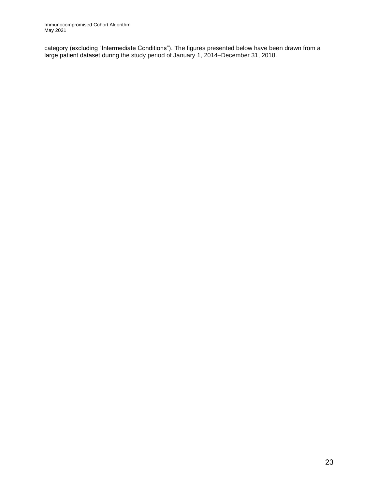category (excluding "Intermediate Conditions"). The figures presented below have been drawn from a large patient dataset during the study period of January 1, 2014–December 31, 2018.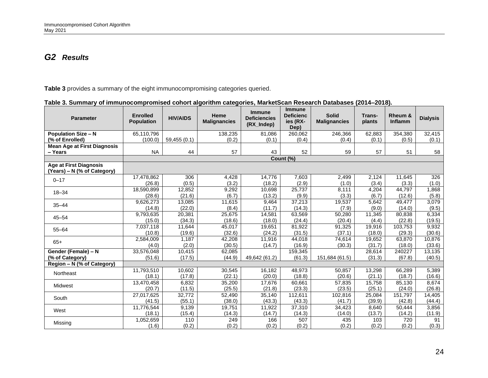# *G2 Results*

**[Table 3](#page-23-2)** provides a summary of the eight immunocompromising categories queried.

<span id="page-23-1"></span><span id="page-23-0"></span>

| <b>Parameter</b>                                             | <b>Enrolled</b><br><b>Population</b> | <b>HIV/AIDS</b>  | Heme<br><b>Malignancies</b> | <b>Immune</b><br><b>Deficiencies</b><br>(RX_Indep) | <b>Immune</b><br><b>Deficienc</b><br>ies (RX-<br>Dep) | <b>Solid</b><br><b>Malignancies</b> | Trans-<br>plants | Rheum &<br>Inflamm | <b>Dialysis</b>  |
|--------------------------------------------------------------|--------------------------------------|------------------|-----------------------------|----------------------------------------------------|-------------------------------------------------------|-------------------------------------|------------------|--------------------|------------------|
| <b>Population Size - N</b>                                   | 65,110,796                           |                  | 138,235                     | 81,086                                             | 260,062                                               | 246,366                             | 62,883           | 354,380            | 32,415           |
| (% of Enrolled)                                              | (100.0)                              | 59,455 (0.1)     | (0.2)                       | (0.1)                                              | (0.4)                                                 | (0.4)                               | (0.1)            | (0.5)              | (0.1)            |
| <b>Mean Age at First Diagnosis</b>                           |                                      |                  |                             |                                                    |                                                       |                                     |                  |                    |                  |
| - Years                                                      | <b>NA</b>                            | 44               | 57                          | 43                                                 | 52                                                    | 59                                  | 57               | 51                 | 58               |
|                                                              |                                      |                  |                             |                                                    | Count (%)                                             |                                     |                  |                    |                  |
| <b>Age at First Diagnosis</b><br>(Years) - N (% of Category) |                                      |                  |                             |                                                    |                                                       |                                     |                  |                    |                  |
| $0 - 17$                                                     | 17,478,862                           | 306              | 4,428                       | 14,776                                             | 7,603                                                 | 2,499                               | 2,124            | 11,645             | 326              |
|                                                              | (26.8)                               | (0.5)            | (3.2)                       | (18.2)                                             | (2.9)                                                 | (1.0)                               | (3.4)            | (3.3)              | (1.0)            |
| $18 - 34$                                                    | 18,590,899                           | 12,852           | 9,292                       | 10,698                                             | 25,737                                                | 8,111                               | 4,204            | 44,797             | 1,868            |
|                                                              | (28.6)                               | (21.6)           | (6.7)                       | (13.2)                                             | (9.9)                                                 | (3.3)                               | (6.7)            | (12.6)             | (5.8)            |
| $35 - 44$                                                    | 9,626,273                            | 13,085           | 11,615                      | 9,464                                              | 37,213                                                | 19,537                              | 5,642            | 49,477             | 3,079            |
|                                                              | (14.8)                               | (22.0)           | (8.4)                       | (11.7)                                             | (14.3)                                                | (7.9)                               | (9.0)            | (14.0)             | (9.5)            |
| $45 - 54$                                                    | 9,793,635                            | 20,381           | 25,675                      | 14,581                                             | 63,569                                                | 50,280                              | 11,345           | 80,838             | 6,334            |
|                                                              | (15.0)                               | (34.3)           | (18.6)                      | (18.0)                                             | (24.4)                                                | (20.4)                              | (4.4)            | (22.8)             | (19.5)           |
| $55 - 64$                                                    | 7,037,118                            | 11,644           | 45,017                      | 19,651                                             | 81,922                                                | 91,325                              | 19,916           | 103,753            | 9,932            |
|                                                              | (10.8)                               | (19.6)           | (32.6)                      | (24.2)                                             | (31.5)                                                | (37.1)                              | (18.0)           | (29.3)             | (30.6)           |
| $65+$                                                        | 2,584,009                            | 1,187            | 42,208                      | 11,916                                             | 44,018                                                | 74,614                              | 19,652           | 63,870             | 10,876           |
|                                                              | (4.0)                                | (2.0)            | (30.5)                      | (14.7)                                             | (16.9)                                                | (30.3)                              | (31.7)           | (18.0)             | (33.6)           |
| Gender (Female) - N<br>(% of Category)                       | 33,576,048<br>(51.6)                 | 10,415<br>(17.5) | 62,085<br>(44.9)            | 49,642 (61.2)                                      | 159,345<br>(61.3)                                     | 151,684 (61.5)                      | 28,614<br>(31.3) | 240227<br>(67.8)   | 13,135<br>(40.5) |
| Region - N (% of Category)                                   |                                      |                  |                             |                                                    |                                                       |                                     |                  |                    |                  |
| Northeast                                                    | 11,793,510                           | 10,602           | 30,545                      | 16,182                                             | 48,973                                                | 50,857                              | 13,298           | 66,289             | 5,389            |
|                                                              | (18.1)                               | (17.8)           | (22.1)                      | (20.0)                                             | (18.8)                                                | (20.6)                              | (21.1)           | (18.7)             | (16.6)           |
| Midwest                                                      | 13,470,458                           | 6,832            | 35,200                      | 17,676                                             | 60,661                                                | 57,835                              | 15,758           | 85,130             | 8,674            |
|                                                              | (20.7)                               | (11.5)           | (25.5)                      | (21.8)                                             | (23.3)                                                | (23.5)                              | (25.1)           | (24.0)             | (26.8)           |
| South                                                        | 27,017,625                           | 32,772           | 52,490                      | 35,140                                             | 112,611                                               | 102,816                             | 25,084           | 151,797            | 14,405           |
|                                                              | (41.5)                               | (55.1)           | (38.0)                      | (43.3)                                             | (43.3)                                                | (41.7)                              | (39.9)           | (42.8)             | (44.4)           |
| West                                                         | 11,776,544                           | 9,139            | 19,751                      | 11,922                                             | 37,310                                                | 34,423                              | 8.640            | 50,444             | 3,856            |
|                                                              | (18.1)                               | (15.4)           | (14.3)                      | (14.7)                                             | (14.3)                                                | (14.0)                              | (13.7)           | (14.2)             | (11.9)           |
| Missing                                                      | 1,052,659                            | 110              | 249                         | 166                                                | 507                                                   | 435                                 | 103              | 720                | 91               |
|                                                              | (1.6)                                | (0.2)            | (0.2)                       | (0.2)                                              | (0.2)                                                 | (0.2)                               | (0.2)            | (0.2)              | (0.3)            |

<span id="page-23-3"></span><span id="page-23-2"></span>

| Table 3. Summary of immunocompromised cohort algorithm categories, MarketScan Research Databases (2014–2018). |  |  |  |  |
|---------------------------------------------------------------------------------------------------------------|--|--|--|--|
|                                                                                                               |  |  |  |  |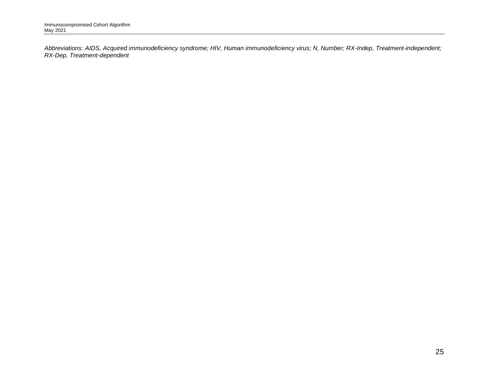*Abbreviations: AIDS, Acquired immunodeficiency syndrome; HIV, Human immunodeficiency virus; N, Number; RX-Indep, Treatment-independent; RX-Dep, Treatment-dependent*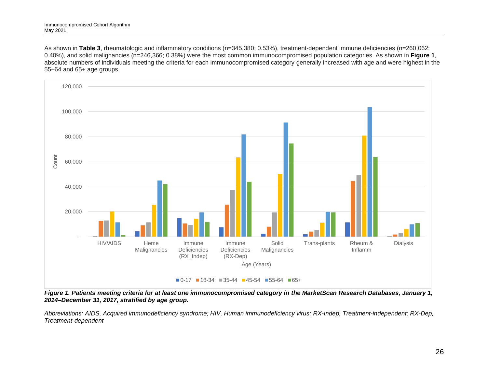As shown in **[Table 3](#page-23-3)**, rheumatologic and inflammatory conditions (n=345,380; 0.53%), treatment-dependent immune deficiencies (n=260,062; 0.40%), and solid malignancies (n=246,366; 0.38%) were the most common immunocompromised population categories. As shown in **[Figure 1](#page-25-1)**, absolute numbers of individuals meeting the criteria for each immunocompromised category generally increased with age and were highest in the 55–64 and 65+ age groups.



<span id="page-25-1"></span>*Figure 1. Patients meeting criteria for at least one immunocompromised category in the MarketScan Research Databases, January 1, 2014–December 31, 2017, stratified by age group.* 

<span id="page-25-0"></span>*Abbreviations: AIDS, Acquired immunodeficiency syndrome; HIV, Human immunodeficiency virus; RX-Indep, Treatment-independent; RX-Dep, Treatment-dependent*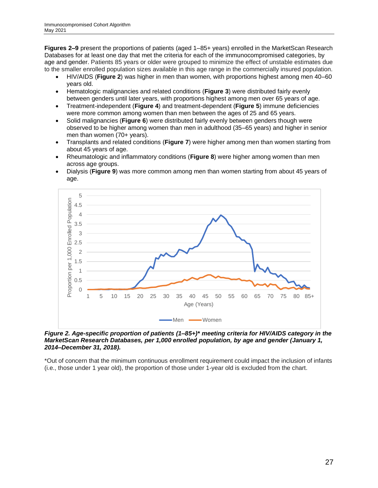**Figures 2–9** present the proportions of patients (aged 1–85+ years) enrolled in the MarketScan Research Databases for at least one day that met the criteria for each of the immunocompromised categories, by age and gender. Patients 85 years or older were grouped to minimize the effect of unstable estimates due to the smaller enrolled population sizes available in this age range in the commercially insured population.

- HIV/AIDS (**[Figure 2](#page-26-0)**) was higher in men than women, with proportions highest among men 40–60 years old.
- Hematologic malignancies and related conditions (**[Figure 3](#page-27-0)**) were distributed fairly evenly between genders until later years, with proportions highest among men over 65 years of age.
- Treatment-independent (**[Figure 4](#page-27-1)**) and treatment-dependent (**[Figure 5](#page-28-0)**) immune deficiencies were more common among women than men between the ages of 25 and 65 years.
- Solid malignancies (**[Figure 6](#page-28-1)**) were distributed fairly evenly between genders though were observed to be higher among women than men in adulthood (35–65 years) and higher in senior men than women (70+ years).
- Transplants and related conditions (**[Figure 7](#page-29-0)**) were higher among men than women starting from about 45 years of age.
- Rheumatologic and inflammatory conditions (**[Figure 8](#page-29-1)**) were higher among women than men across age groups.
- Dialysis (**[Figure 9](#page-30-0)**) was more common among men than women starting from about 45 years of age.



<span id="page-26-0"></span>*Figure 2. Age-specific proportion of patients (1–85+)\* meeting criteria for HIV/AIDS category in the MarketScan Research Databases, per 1,000 enrolled population, by age and gender (January 1, 2014–December 31, 2018).*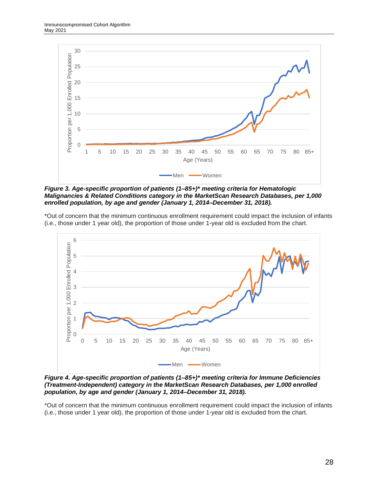

<span id="page-27-0"></span>*Figure 3. Age-specific proportion of patients (1–85+)\* meeting criteria for Hematologic Malignancies & Related Conditions category in the MarketScan Research Databases, per 1,000 enrolled population, by age and gender (January 1, 2014–December 31, 2018).*



<span id="page-27-1"></span>*Figure 4. Age-specific proportion of patients (1–85+)\* meeting criteria for Immune Deficiencies (Treatment-Independent) category in the MarketScan Research Databases, per 1,000 enrolled population, by age and gender (January 1, 2014–December 31, 2018).*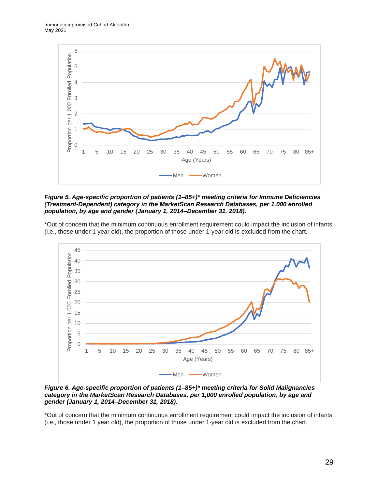

<span id="page-28-0"></span>*Figure 5. Age-specific proportion of patients (1–85+)\* meeting criteria for Immune Deficiencies (Treatment-Dependent) category in the MarketScan Research Databases, per 1,000 enrolled population, by age and gender (January 1, 2014–December 31, 2018).*



<span id="page-28-1"></span>*Figure 6. Age-specific proportion of patients (1–85+)\* meeting criteria for Solid Malignancies category in the MarketScan Research Databases, per 1,000 enrolled population, by age and gender (January 1, 2014–December 31, 2018).*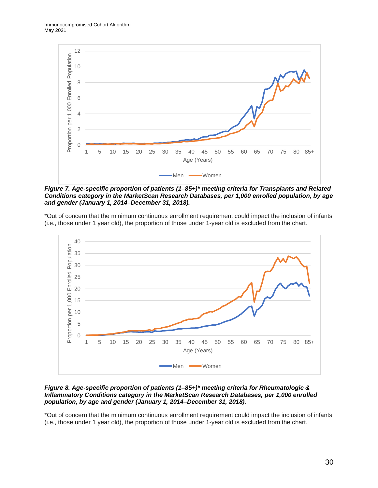

<span id="page-29-0"></span>*Figure 7. Age-specific proportion of patients (1–85+)\* meeting criteria for Transplants and Related Conditions category in the MarketScan Research Databases, per 1,000 enrolled population, by age and gender (January 1, 2014–December 31, 2018).*



#### <span id="page-29-1"></span>*Figure 8. Age-specific proportion of patients (1–85+)\* meeting criteria for Rheumatologic & Inflammatory Conditions category in the MarketScan Research Databases, per 1,000 enrolled population, by age and gender (January 1, 2014–December 31, 2018).*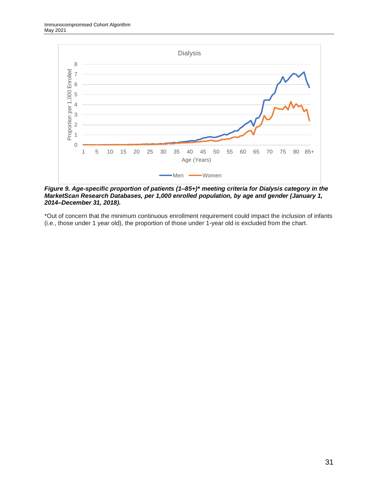

<span id="page-30-0"></span>*Figure 9. Age-specific proportion of patients (1–85+)\* meeting criteria for Dialysis category in the MarketScan Research Databases, per 1,000 enrolled population, by age and gender (January 1, 2014–December 31, 2018).*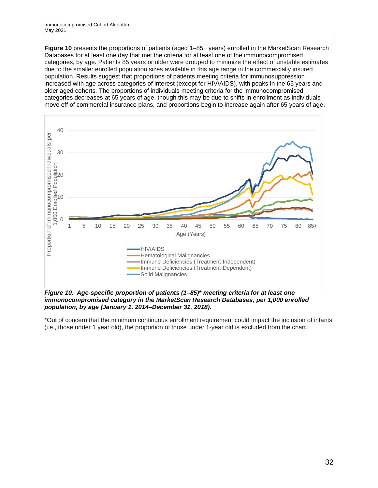**[Figure 10](#page-31-0)** presents the proportions of patients (aged 1–85+ years) enrolled in the MarketScan Research Databases for at least one day that met the criteria for at least one of the immunocompromised categories, by age. Patients 85 years or older were grouped to minimize the effect of unstable estimates due to the smaller enrolled population sizes available in this age range in the commercially insured population. Results suggest that proportions of patients meeting criteria for immunosuppression increased with age across categories of interest (except for HIV/AIDS), with peaks in the 65 years and older aged cohorts. The proportions of individuals meeting criteria for the immunocompromised categories decreases at 65 years of age, though this may be due to shifts in enrollment as individuals move off of commercial insurance plans, and proportions begin to increase again after 65 years of age.



<span id="page-31-0"></span>*Figure 10. Age-specific proportion of patients (1–85)\* meeting criteria for at least one immunocompromised category in the MarketScan Research Databases, per 1,000 enrolled population, by age (January 1, 2014–December 31, 2018).*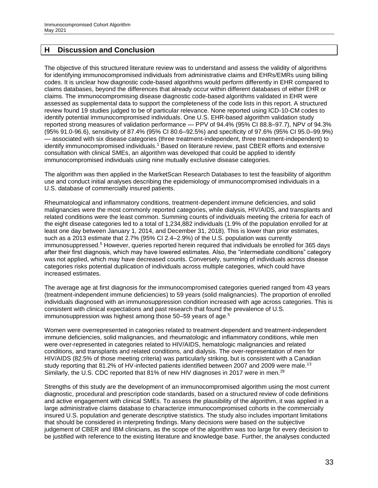### <span id="page-32-0"></span>**H Discussion and Conclusion**

The objective of this structured literature review was to understand and assess the validity of algorithms for identifying immunocompromised individuals from administrative claims and EHRs/EMRs using billing codes. It is unclear how diagnostic code-based algorithms would perform differently in EHR compared to claims databases, beyond the differences that already occur within different databases of either EHR or claims. The immunocompromising disease diagnostic code-based algorithms validated in EHR were assessed as supplemental data to support the completeness of the code lists in this report. A structured review found 19 studies judged to be of particular relevance. None reported using ICD-10-CM codes to identify potential immunocompromised individuals. One U.S. EHR-based algorithm validation study reported strong measures of validation performance — PPV of 94.4% (95% CI 88.8–97.7), NPV of 94.3% (95% 91.0-96.6), sensitivity of 87.4% (95% CI 80.6–92.5%) and specificity of 97.6% (95% CI 95.0–99.9%) — associated with six disease categories (three treatment-independent, three treatment-independent) to identify immunocompromised individuals.<sup>1</sup> Based on literature review, past CBER efforts and extensive consultation with clinical SMEs, an algorithm was developed that could be applied to identify immunocompromised individuals using nine mutually exclusive disease categories.

The algorithm was then applied in the MarketScan Research Databases to test the feasibility of algorithm use and conduct initial analyses describing the epidemiology of immunocompromised individuals in a U.S. database of commercially insured patients.

Rheumatological and inflammatory conditions, treatment-dependent immune deficiencies, and solid malignancies were the most commonly reported categories, while dialysis, HIV/AIDS, and transplants and related conditions were the least common. Summing counts of individuals meeting the criteria for each of the eight disease categories led to a total of 1,234,882 individuals (1.9% of the population enrolled for at least one day between January 1, 2014, and December 31, 2018). This is lower than prior estimates, such as a 2013 estimate that 2.7% (95% CI 2.4–2.9%) of the U.S. population was currently immunosuppressed.<sup>5</sup> However, queries reported herein required that individuals be enrolled for 365 days after their first diagnosis, which may have lowered estimates. Also, the "intermediate conditions" category was not applied, which may have decreased counts. Conversely, summing of individuals across disease categories risks potential duplication of individuals across multiple categories, which could have increased estimates.

The average age at first diagnosis for the immunocompromised categories queried ranged from 43 years (treatment-independent immune deficiencies) to 59 years (solid malignancies). The proportion of enrolled individuals diagnosed with an immunosuppression condition increased with age across categories. This is consistent with clinical expectations and past research that found the prevalence of U.S. immunosuppression was highest among those 50–59 years of age.<sup>5</sup>

Women were overrepresented in categories related to treatment-dependent and treatment-independent immune deficiencies, solid malignancies, and rheumatologic and inflammatory conditions, while men were over-represented in categories related to HIV/AIDS, hematologic malignancies and related conditions, and transplants and related conditions, and dialysis. The over-representation of men for HIV/AIDS (82.5% of those meeting criteria) was particularly striking, but is consistent with a Canadian study reporting that 81.2% of HV-infected patients identified between 2007 and 2009 were male.<sup>13</sup> Similarly, the U.S. CDC reported that 81% of new HIV diagnoses in 2017 were in men.<sup>29</sup>

Strengths of this study are the development of an immunocompromised algorithm using the most current diagnostic, procedural and prescription code standards, based on a structured review of code definitions and active engagement with clinical SMEs. To assess the plausibility of the algorithm, it was applied in a large administrative claims database to characterize immunocompromised cohorts in the commercially insured U.S. population and generate descriptive statistics. The study also includes important limitations that should be considered in interpreting findings. Many decisions were based on the subjective judgement of CBER and IBM clinicians, as the scope of the algorithm was too large for every decision to be justified with reference to the existing literature and knowledge base. Further, the analyses conducted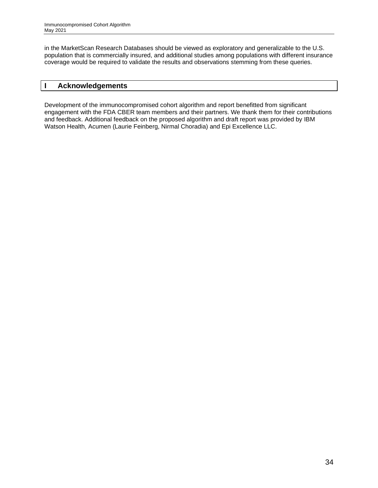in the MarketScan Research Databases should be viewed as exploratory and generalizable to the U.S. population that is commercially insured, and additional studies among populations with different insurance coverage would be required to validate the results and observations stemming from these queries.

#### <span id="page-33-0"></span>**I Acknowledgements**

Development of the immunocompromised cohort algorithm and report benefitted from significant engagement with the FDA CBER team members and their partners. We thank them for their contributions and feedback. Additional feedback on the proposed algorithm and draft report was provided by IBM Watson Health, Acumen (Laurie Feinberg, Nirmal Choradia) and Epi Excellence LLC.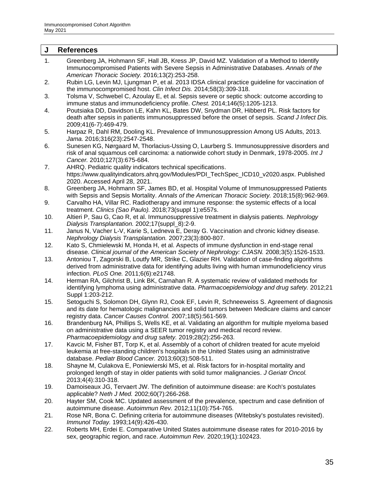<span id="page-34-0"></span>

| J   | <b>References</b>                                                                                                                                                                                                                                        |
|-----|----------------------------------------------------------------------------------------------------------------------------------------------------------------------------------------------------------------------------------------------------------|
| 1.  | Greenberg JA, Hohmann SF, Hall JB, Kress JP, David MZ. Validation of a Method to Identify<br>Immunocompromised Patients with Severe Sepsis in Administrative Databases. Annals of the<br>American Thoracic Society. 2016;13(2):253-258.                  |
| 2.  | Rubin LG, Levin MJ, Ljungman P, et al. 2013 IDSA clinical practice guideline for vaccination of<br>the immunocompromised host. Clin Infect Dis. 2014;58(3):309-318.                                                                                      |
| 3.  | Tolsma V, Schwebel C, Azoulay E, et al. Sepsis severe or septic shock: outcome according to<br>immune status and immunodeficiency profile. Chest. 2014;146(5):1205-1213.                                                                                 |
| 4.  | Poutsiaka DD, Davidson LE, Kahn KL, Bates DW, Snydman DR, Hibberd PL. Risk factors for<br>death after sepsis in patients immunosuppressed before the onset of sepsis. Scand J Infect Dis.<br>2009;41(6-7):469-479.                                       |
| 5.  | Harpaz R, Dahl RM, Dooling KL. Prevalence of Immunosuppression Among US Adults, 2013.<br>Jama. 2016;316(23):2547-2548.                                                                                                                                   |
| 6.  | Sunesen KG, Nørgaard M, Thorlacius-Ussing O, Laurberg S. Immunosuppressive disorders and<br>risk of anal squamous cell carcinoma: a nationwide cohort study in Denmark, 1978-2005. Int J<br>Cancer. 2010;127(3):675-684.                                 |
| 7.  | AHRQ. Pediatric quality indicators technical specifications.<br>https://www.qualityindicators.ahrq.gov/Modules/PDI_TechSpec_ICD10_v2020.aspx. Published<br>2020. Accessed April 28, 2021.                                                                |
| 8.  | Greenberg JA, Hohmann SF, James BD, et al. Hospital Volume of Immunosuppressed Patients<br>with Sepsis and Sepsis Mortality. Annals of the American Thoracic Society. 2018;15(8):962-969.                                                                |
| 9.  | Carvalho HA, Villar RC. Radiotherapy and immune response: the systemic effects of a local<br>treatment. Clinics (Sao Paulo). 2018;73(suppl 1):e557s.                                                                                                     |
| 10. | Altieri P, Sau G, Cao R, et al. Immunosuppressive treatment in dialysis patients. Nephrology<br>Dialysis Transplantation. 2002;17(suppl_8):2-9.                                                                                                          |
| 11. | Janus N, Vacher L-V, Karie S, Ledneva E, Deray G. Vaccination and chronic kidney disease.<br>Nephrology Dialysis Transplantation. 2007;23(3):800-807.                                                                                                    |
| 12. | Kato S, Chmielewski M, Honda H, et al. Aspects of immune dysfunction in end-stage renal<br>disease. Clinical journal of the American Society of Nephrology: CJASN. 2008;3(5):1526-1533.                                                                  |
| 13. | Antoniou T, Zagorski B, Loutfy MR, Strike C, Glazier RH. Validation of case-finding algorithms<br>derived from administrative data for identifying adults living with human immunodeficiency virus<br>infection. PLoS One. 2011;6(6):e21748.             |
| 14. | Herman RA, Gilchrist B, Link BK, Carnahan R. A systematic review of validated methods for<br>identifying lymphoma using administrative data. Pharmacoepidemiology and drug safety. 2012;21<br>Suppl 1:203-212.                                           |
| 15. | Setoguchi S, Solomon DH, Glynn RJ, Cook EF, Levin R, Schneeweiss S. Agreement of diagnosis<br>and its date for hematologic malignancies and solid tumors between Medicare claims and cancer<br>registry data. Cancer Causes Control. 2007;18(5):561-569. |
| 16. | Brandenburg NA, Phillips S, Wells KE, et al. Validating an algorithm for multiple myeloma based<br>on administrative data using a SEER tumor registry and medical record review.<br>Pharmacoepidemiology and drug safety. 2019;28(2):256-263.            |
| 17. | Kavcic M, Fisher BT, Torp K, et al. Assembly of a cohort of children treated for acute myeloid<br>leukemia at free-standing children's hospitals in the United States using an administrative<br>database. Pediatr Blood Cancer. 2013;60(3):508-511.     |
| 18. | Shayne M, Culakova E, Poniewierski MS, et al. Risk factors for in-hospital mortality and<br>prolonged length of stay in older patients with solid tumor malignancies. J Geriatr Oncol.<br>2013;4(4):310-318.                                             |
| 19. | Damoiseaux JG, Tervaert JW. The definition of autoimmune disease: are Koch's postulates<br>applicable? Neth J Med. 2002;60(7):266-268.                                                                                                                   |
| 20. | Hayter SM, Cook MC. Updated assessment of the prevalence, spectrum and case definition of<br>autoimmune disease. Autoimmun Rev. 2012;11(10):754-765.                                                                                                     |
| 21. | Rose NR, Bona C. Defining criteria for autoimmune diseases (Witebsky's postulates revisited).<br>Immunol Today. 1993;14(9):426-430.                                                                                                                      |
| 22. | Roberts MH, Erdei E. Comparative United States autoimmune disease rates for 2010-2016 by<br>sex, geographic region, and race. Autoimmun Rev. 2020;19(1):102423.                                                                                          |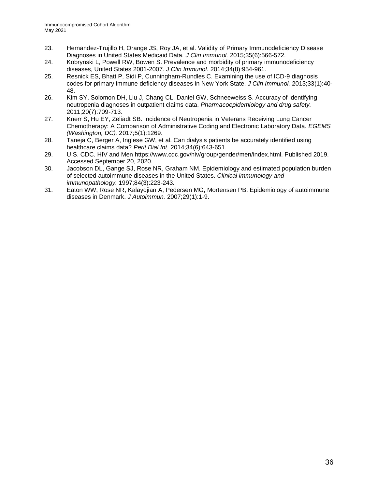- 23. Hernandez-Trujillo H, Orange JS, Roy JA, et al. Validity of Primary Immunodeficiency Disease Diagnoses in United States Medicaid Data. *J Clin Immunol.* 2015;35(6):566-572.
- 24. Kobrynski L, Powell RW, Bowen S. Prevalence and morbidity of primary immunodeficiency diseases, United States 2001-2007. *J Clin Immunol.* 2014;34(8):954-961.
- 25. Resnick ES, Bhatt P, Sidi P, Cunningham-Rundles C. Examining the use of ICD-9 diagnosis codes for primary immune deficiency diseases in New York State. *J Clin Immunol.* 2013;33(1):40- 48.
- 26. Kim SY, Solomon DH, Liu J, Chang CL, Daniel GW, Schneeweiss S. Accuracy of identifying neutropenia diagnoses in outpatient claims data. *Pharmacoepidemiology and drug safety.*  2011;20(7):709-713.
- 27. Knerr S, Hu EY, Zeliadt SB. Incidence of Neutropenia in Veterans Receiving Lung Cancer Chemotherapy: A Comparison of Administrative Coding and Electronic Laboratory Data. *EGEMS (Washington, DC).* 2017;5(1):1269.
- 28. Taneja C, Berger A, Inglese GW, et al. Can dialysis patients be accurately identified using healthcare claims data? *Perit Dial Int.* 2014;34(6):643-651.
- 29. U.S. CDC. HIV and Men https://www.cdc.gov/hiv/group/gender/men/index.html. Published 2019. Accessed September 20, 2020.
- 30. Jacobson DL, Gange SJ, Rose NR, Graham NM. Epidemiology and estimated population burden of selected autoimmune diseases in the United States. *Clinical immunology and immunopathology.* 1997;84(3):223-243.
- 31. Eaton WW, Rose NR, Kalaydjian A, Pedersen MG, Mortensen PB. Epidemiology of autoimmune diseases in Denmark. *J Autoimmun.* 2007;29(1):1-9.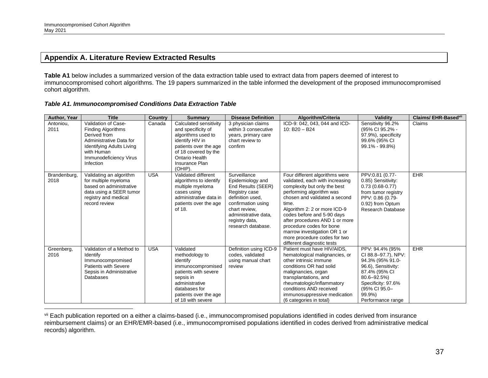#### **Appendix A. Literature Review Extracted Results**

**Table A1** below includes a summarized version of the data extraction table used to extract data from papers deemed of interest to immunocompromised cohort algorithms. The 19 papers summarized in the table informed the development of the proposed immunocompromised cohort algorithm.

*Table A1. Immunocompromised Conditions Data Extraction Table*

<span id="page-36-0"></span>

| Author, Year         | <b>Title</b>                                                                                                                                                                         | <b>Country</b> | Summary                                                                                                                                                                               | <b>Disease Definition</b>                                                                                                                                                                          | Algorithm/Criteria                                                                                                                                                                                                                                                                                                                                                                                | Validity                                                                                                                                                                                | Claims/EHR-Based <sup>vii</sup> |
|----------------------|--------------------------------------------------------------------------------------------------------------------------------------------------------------------------------------|----------------|---------------------------------------------------------------------------------------------------------------------------------------------------------------------------------------|----------------------------------------------------------------------------------------------------------------------------------------------------------------------------------------------------|---------------------------------------------------------------------------------------------------------------------------------------------------------------------------------------------------------------------------------------------------------------------------------------------------------------------------------------------------------------------------------------------------|-----------------------------------------------------------------------------------------------------------------------------------------------------------------------------------------|---------------------------------|
| Antoniou,<br>2011    | Validation of Case-<br><b>Finding Algorithms</b><br>Derived from<br>Administrative Data for<br><b>Identifying Adults Living</b><br>with Human<br>Immunodeficiency Virus<br>Infection | Canada         | Calculated sensitivity<br>and specificity of<br>algorithms used to<br>identify HIV in<br>patients over the age<br>of 18 covered by the<br>Ontario Health<br>Insurance Plan<br>(OHIP). | 3 physician claims<br>within 3 consecutive<br>years, primary care<br>chart review to<br>confirm                                                                                                    | ICD-9: 042, 043, 044 and ICD-<br>10: $B20 - B24$                                                                                                                                                                                                                                                                                                                                                  | Sensitivity 96.2%<br>(95% CI 95.2% -<br>97.9%), specificity<br>99.6% (95% CI<br>99.1% - 99.8%)                                                                                          | Claims                          |
| Brandenburg,<br>2018 | Validating an algorithm<br>for multiple myeloma<br>based on administrative<br>data using a SEER tumor<br>registry and medical<br>record review                                       | <b>USA</b>     | Validated different<br>algorithms to identify<br>multiple myeloma<br>cases using<br>administrative data in<br>patients over the age<br>of 18.                                         | Surveillance<br>Epidemiology and<br>End Results (SEER)<br>Registry case<br>definition used,<br>confirmation using<br>chart review.<br>administrative data,<br>registry data,<br>research database. | Four different algorithms were<br>validated, each with increasing<br>complexity but only the best<br>performing algorithm was<br>chosen and validated a second<br>time.<br>Algorithm 2: 2 or more ICD-9<br>codes before and 5-90 days<br>after procedures AND 1 or more<br>procedure codes for bone<br>marrow investigation OR 1 or<br>more procedure codes for two<br>different diagnostic tests | PPV:0.81 (0.77-<br>0.85) Sensitivity:<br>$0.73(0.68-0.77)$<br>from tumor registry<br>PPV: 0.86 (0.79-<br>0.92) from Optum<br>Research Database                                          | EHR                             |
| Greenberg,<br>2016   | Validation of a Method to<br>Identify<br>Immunocompromised<br>Patients with Severe<br>Sepsis in Administrative<br><b>Databases</b>                                                   | <b>USA</b>     | Validated<br>methodology to<br>identify<br>immunocompromised<br>patients with severe<br>sepsis in<br>administrative<br>databases for<br>patients over the age<br>of 18 with severe    | Definition using ICD-9<br>codes, validated<br>using manual chart<br>review                                                                                                                         | Patient must have HIV/AIDS,<br>hematological malignancies, or<br>other intrinsic immune<br>conditions OR had solid<br>malignancies, organ<br>transplantations, and<br>rheumatologic/inflammatory<br>conditions AND received<br>immunosuppressive medication<br>(6 categories in total)                                                                                                            | PPV: 94.4% (95%<br>CI 88.8-97.7), NPV:<br>94.3% (95% 91.0-<br>96.6), Sensitivity:<br>87.4% (95% CI<br>80.6-92.5%)<br>Specificity: 97.6%<br>(95% CI 95.0-<br>99.9%)<br>Performance range | EHR                             |

vii Each publication reported on a either a claims-based (i.e., immunocompromised populations identified in codes derived from insurance reimbursement claims) or an EHR/EMR-based (i.e., immunocompromised populations identified in codes derived from administrative medical records) algorithm.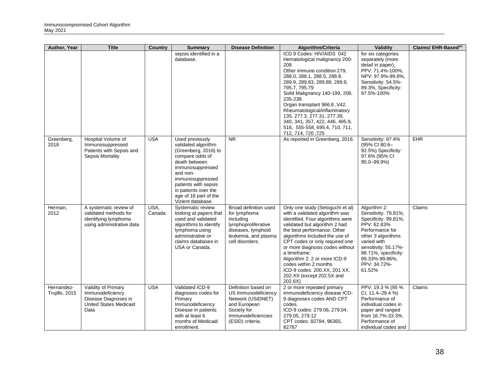| Author, Year                 | <b>Title</b>                                                                                             | Country        | <b>Summary</b>                                                                                                                                                                                                                                       | <b>Disease Definition</b>                                                                                                                       | Algorithm/Criteria                                                                                                                                                                                                                                                                                                                                                                                                             | Validity                                                                                                                                                                                                                        | Claims/ EHR-Basedvil |
|------------------------------|----------------------------------------------------------------------------------------------------------|----------------|------------------------------------------------------------------------------------------------------------------------------------------------------------------------------------------------------------------------------------------------------|-------------------------------------------------------------------------------------------------------------------------------------------------|--------------------------------------------------------------------------------------------------------------------------------------------------------------------------------------------------------------------------------------------------------------------------------------------------------------------------------------------------------------------------------------------------------------------------------|---------------------------------------------------------------------------------------------------------------------------------------------------------------------------------------------------------------------------------|----------------------|
|                              |                                                                                                          |                | sepsis identified in a<br>database.                                                                                                                                                                                                                  |                                                                                                                                                 | ICD 9 Codes: HIV/AIDS 042<br>Hematological malignancy 200-<br>208<br>Other immune condition 279,<br>288.0, 288.1, 288.5, 288.8.<br>289.9, 289.83, 289.89, 289.9,<br>795.7, 795.79<br>Solid Malignancy 140-199, 209,<br>235-239.<br>Organ transplant 966.8, V42.<br>Rheumatological/inflammatory<br>135, 277.3, 277.31, 277.39,<br>340, 341, 357, 422, 446, 495.9,<br>516, 555-558, 695.4, 710, 711,<br>712, 714, 720, 725      | for six categories<br>separately (more<br>detail in paper):<br>PPV: 71.4%-100%,<br>NPV: 97.9%-99.8%,<br>Sensitivity: 54.5%-<br>89.3%, Specificity:<br>97.5%-100%                                                                |                      |
| Greenberg,<br>2018           | Hospital Volume of<br>Immunosuppressed<br>Patients with Sepsis and<br><b>Sepsis Mortality</b>            | <b>USA</b>     | Used previously<br>validated algorithm<br>(Greenberg, 2016) to<br>compare odds of<br>death between<br>immunosuppressed<br>and non-<br>immunosuppressed<br>patients with sepsis<br>in patients over the<br>age of 18 part of the<br>Vizient database. | <b>NR</b>                                                                                                                                       | As reported in Greenberg, 2016.                                                                                                                                                                                                                                                                                                                                                                                                | Sensitivity: 87.4%<br>(95% CI 80.6-<br>92.5%) Specificity:<br>97.6% (95% CI<br>95.0-99.9%)                                                                                                                                      | EHR                  |
| Herman,<br>2012              | A systematic review of<br>validated methods for<br>identifying lymphoma<br>using administrative data     | USA,<br>Canada | Systematic review<br>looking at papers that<br>used and validated<br>algorithms to identify<br>lymphoma using<br>administrative or<br>claims databases in<br>USA or Canada.                                                                          | Broad definition used<br>for lymphoma<br>including<br>lymphoproliferative<br>diseases, lymphoid<br>leukemia, and plasma<br>cell disorders.      | Only one study (Setoguchi et al)<br>with a validated algorithm was<br>identified. Four algorithms were<br>validated but algorithm 2 had<br>the best performance. Other<br>algorithms included the use of<br>CPT codes or only required one<br>or more diagnosis codes without<br>a timeframe.<br>Algorithm 2: 2 or more ICD-9<br>codes within 2 months<br>ICD-9 codes: 200.XX, 201.XX,<br>202.XX (except 202.5X and<br>202.6X) | Algorithm 2:<br>Sensitivity: 79.81%,<br>Specificity: 99.81%,<br>PPV: 62.83%<br>Performance for<br>other 3 algorithms<br>varied with<br>sensitivity: 55.17%-<br>88.71%, specificity:<br>99.33%-99.86%,<br>PPV: 34.72%-<br>61.52% | Claims               |
| Hernandez-<br>Trujillo, 2015 | Validity of Primary<br>Immunodeficiency<br>Disease Diagnoses in<br><b>United States Medicaid</b><br>Data | <b>USA</b>     | Validated ICD-9<br>diagnoses codes for<br>Primary<br>Immunodeficiency<br>Disease in patients<br>with at least 6<br>months of Medicaid<br>enrollment.                                                                                                 | Definition based on<br>US Immunodeficiency<br>Network (USIDNET)<br>and European<br>Society for<br><b>Immunodeficiencies</b><br>(ESID) criteria. | 2 or more repeated primary<br>immunodeficiency disease ICD-<br>9 diagnoses codes AND CPT<br>codes.<br>ICD-9 codes: 279.06, 279.04,<br>279.05, 279.12<br>CPT codes: 82784, 96365,<br>82787                                                                                                                                                                                                                                      | PPV: 19.3 % (95 %<br>CI, 11.4-29.4 %)<br>Performance of<br>individual codes in<br>paper and ranged<br>from 16.7%-33.3%.<br>Performance of<br>individual codes and                                                               | Claims               |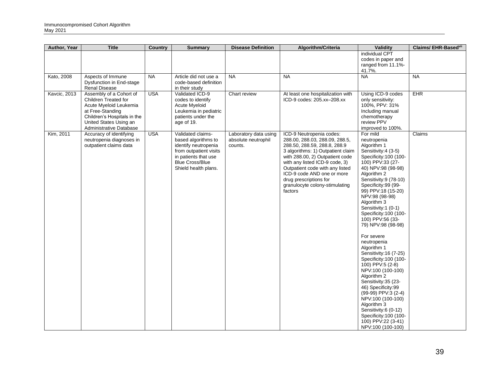| Author, Year        | <b>Title</b>                                                                                                                                                                      | <b>Country</b> | <b>Summary</b>                                                                                                                                                       | <b>Disease Definition</b>                               | Algorithm/Criteria                                                                                                                                                                                                                                                                                                                           | Validity                                                                                                                                                                                                                                                                                                                                                                                                                                                                                                                                                                                                                                                                                                         | <b>Claims/EHR-Basedville</b> |
|---------------------|-----------------------------------------------------------------------------------------------------------------------------------------------------------------------------------|----------------|----------------------------------------------------------------------------------------------------------------------------------------------------------------------|---------------------------------------------------------|----------------------------------------------------------------------------------------------------------------------------------------------------------------------------------------------------------------------------------------------------------------------------------------------------------------------------------------------|------------------------------------------------------------------------------------------------------------------------------------------------------------------------------------------------------------------------------------------------------------------------------------------------------------------------------------------------------------------------------------------------------------------------------------------------------------------------------------------------------------------------------------------------------------------------------------------------------------------------------------------------------------------------------------------------------------------|------------------------------|
|                     |                                                                                                                                                                                   |                |                                                                                                                                                                      |                                                         |                                                                                                                                                                                                                                                                                                                                              | individual CPT<br>codes in paper and<br>ranged from 11.1%-<br>41.7%.                                                                                                                                                                                                                                                                                                                                                                                                                                                                                                                                                                                                                                             |                              |
| Kato, 2008          | Aspects of Immune<br>Dysfunction in End-stage<br><b>Renal Disease</b>                                                                                                             | <b>NA</b>      | Article did not use a<br>code-based definition<br>in their study                                                                                                     | <b>NA</b>                                               | <b>NA</b>                                                                                                                                                                                                                                                                                                                                    | <b>NA</b>                                                                                                                                                                                                                                                                                                                                                                                                                                                                                                                                                                                                                                                                                                        | <b>NA</b>                    |
| <b>Kavcic, 2013</b> | Assembly of a Cohort of<br>Children Treated for<br>Acute Myeloid Leukemia<br>at Free-Standing<br>Children's Hospitals in the<br>United States Using an<br>Administrative Database | <b>USA</b>     | Validated ICD-9<br>codes to identify<br>Acute Myeloid<br>Leukemia in pediatric<br>patients under the<br>age of 19.                                                   | Chart review                                            | At least one hospitalization with<br>ICD-9 codes: 205.xx-208.xx                                                                                                                                                                                                                                                                              | Using ICD-9 codes<br>only sensitivity:<br>100%, PPV: 31%<br>Including manual<br>chemotherapy<br>review PPV<br>improved to 100%.                                                                                                                                                                                                                                                                                                                                                                                                                                                                                                                                                                                  | <b>EHR</b>                   |
| Kim, 2011           | Accuracy of identifying<br>neutropenia diagnoses in<br>outpatient claims data                                                                                                     | <b>USA</b>     | Validated claims-<br>based algorithms to<br>identify neutropenia<br>from outpatient visits<br>in patients that use<br><b>Blue Cross/Blue</b><br>Shield health plans. | Laboratory data using<br>absolute neutrophil<br>counts. | ICD-9 Neutropenia codes:<br>288.00, 288.03, 288.09, 288.5,<br>288.50, 288.59, 288.8, 288.9<br>3 algorithms: 1) Outpatient claim<br>with 288.00, 2) Outpatient code<br>with any listed ICD-9 code, 3)<br>Outpatient code with any listed<br>ICD-9 code AND one or more<br>drug prescriptions for<br>granulocyte colony-stimulating<br>factors | For mild<br>neutropenia<br>Algorithm 1<br>Sensitivity: 4 (3-5)<br>Specificity: 100 (100-<br>100) PPV:33 (27-<br>40) NPV:98 (98-98)<br>Algorithm 2<br>Sensitivity:9 (78-10)<br>Specificity:99 (99-<br>99) PPV:18 (15-20)<br>NPV:98 (98-98)<br>Algorithm 3<br>Sensitivity:1 (0-1)<br>Specificity: 100 (100-<br>100) PPV:56 (33-<br>79) NPV:98 (98-98)<br>For severe<br>neutropenia<br>Algorithm 1<br>Sensitivity: 16 (7-25)<br>Specificity: 100 (100-<br>100) PPV:5 (2-8)<br>NPV:100 (100-100)<br>Algorithm 2<br>Sensitivity:35 (23-<br>46) Specificity:99<br>(99-99) PPV:3 (2-4)<br>NPV:100 (100-100)<br>Algorithm 3<br>Sensitivity:6 (0-12)<br>Specificity: 100 (100-<br>100) PPV:22 (3-41)<br>NPV:100 (100-100) | Claims                       |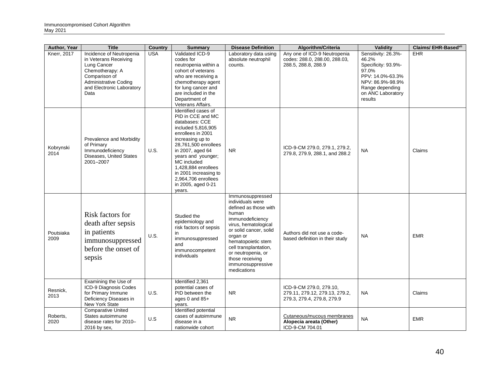| Author, Year       | <b>Title</b>                                                                                                    | <b>Country</b> | <b>Summary</b>                                                                                                                                                                                                                                                                                                    | <b>Disease Definition</b>                                                                                                                                                                                                                                                            | Algorithm/Criteria                                                                      | <b>Validity</b>                                                                         | <b>Claims/ EHR-Basedvill</b> |
|--------------------|-----------------------------------------------------------------------------------------------------------------|----------------|-------------------------------------------------------------------------------------------------------------------------------------------------------------------------------------------------------------------------------------------------------------------------------------------------------------------|--------------------------------------------------------------------------------------------------------------------------------------------------------------------------------------------------------------------------------------------------------------------------------------|-----------------------------------------------------------------------------------------|-----------------------------------------------------------------------------------------|------------------------------|
| <b>Knerr, 2017</b> | Incidence of Neutropenia<br>in Veterans Receiving<br>Lung Cancer<br>Chemotherapy: A                             | <b>USA</b>     | Validated ICD-9<br>codes for<br>neutropenia within a<br>cohort of veterans                                                                                                                                                                                                                                        | Laboratory data using<br>absolute neutrophil<br>counts.                                                                                                                                                                                                                              | Any one of ICD-9 Neutropenia<br>codes: 288.0, 288.00, 288.03,<br>288.5, 288.8, 288.9    | Sensitivity: 26.3%-<br>46.2%<br>Specificity: 93.9%-<br>97.0%                            | <b>EHR</b>                   |
|                    | Comparison of<br><b>Administrative Coding</b><br>and Electronic Laboratory<br>Data                              |                | who are receiving a<br>chemotherapy agent<br>for lung cancer and<br>are included in the<br>Department of<br>Veterans Affairs.                                                                                                                                                                                     |                                                                                                                                                                                                                                                                                      |                                                                                         | PPV: 14.0%-63.3%<br>NPV: 86.9%-98.9%<br>Range depending<br>on ANC Laboratory<br>results |                              |
| Kobrynski<br>2014  | Prevalence and Morbidity<br>of Primary<br>Immunodeficiency<br>Diseases, United States<br>2001-2007              | U.S.           | Identified cases of<br>PID in CCE and MC<br>databases: CCE<br>included 5,816,905<br>enrollees in 2001<br>increasing up to<br>28,761,500 enrollees<br>in 2007, aged 64<br>years and younger;<br>MC included<br>1,428,884 enrollees<br>in 2001 increasing to<br>2,964,706 enrollees<br>in 2005, aged 0-21<br>years. | N <sub>R</sub>                                                                                                                                                                                                                                                                       | ICD-9-CM 279.0, 279.1, 279.2,<br>279.8, 279.9, 288.1, and 288.2                         | <b>NA</b>                                                                               | Claims                       |
| Poutsiaka<br>2009  | Risk factors for<br>death after sepsis<br>in patients<br>immunosuppressed<br>before the onset of<br>sepsis      | U.S.           | Studied the<br>epidemiology and<br>risk factors of sepsis<br>in<br>immunosuppressed<br>and<br>immunocompetent<br>individuals                                                                                                                                                                                      | Immunosuppressed<br>individuals were<br>defined as those with<br>human<br>immunodeficiency<br>virus, hematological<br>or solid cancer, solid<br>organ or<br>hematopoietic stem<br>cell transplantation,<br>or neutropenia, or<br>those receiving<br>immunosuppressive<br>medications | Authors did not use a code-<br>based definition in their study                          | <b>NA</b>                                                                               | <b>EMR</b>                   |
| Resnick,<br>2013   | Examining the Use of<br>ICD-9 Diagnosis Codes<br>for Primary Immune<br>Deficiency Diseases in<br>New York State | U.S.           | Identified 2,361<br>potential cases of<br>PID between the<br>ages 0 and 85+<br>years.                                                                                                                                                                                                                             | <b>NR</b>                                                                                                                                                                                                                                                                            | ICD-9-CM 279.0, 279.10,<br>279.11, 279.12, 279.13, 279.2,<br>279.3, 279.4, 279.8, 279.9 | <b>NA</b>                                                                               | Claims                       |
| Roberts,<br>2020   | <b>Comparative United</b><br>States autoimmune<br>disease rates for 2010-<br>2016 by sex,                       | U.S            | Identified potential<br>cases of autoimmune<br>disease in a<br>nationwide cohort                                                                                                                                                                                                                                  | <b>NR</b>                                                                                                                                                                                                                                                                            | Cutaneous/mucous membranes<br>Alopecia areata (Other)<br>ICD-9-CM 704.01                | <b>NA</b>                                                                               | <b>EMR</b>                   |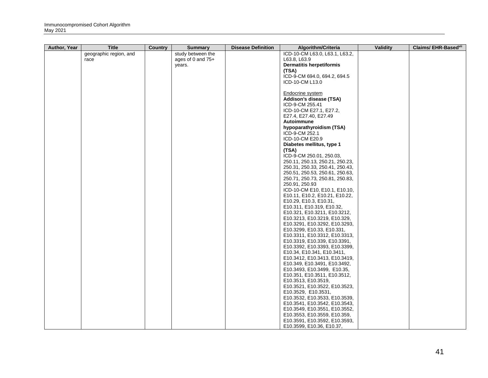| Author, Year | <b>Title</b>           | Country | <b>Summary</b>      | <b>Disease Definition</b> | Algorithm/Criteria                                  | Validity | Claims/ EHR-Basedvii |
|--------------|------------------------|---------|---------------------|---------------------------|-----------------------------------------------------|----------|----------------------|
|              | geographic region, and |         | study between the   |                           | ICD-10-CM L63.0, L63.1, L63.2,                      |          |                      |
|              | race                   |         | ages of 0 and $75+$ |                           | L63.8, L63.9                                        |          |                      |
|              |                        |         | years.              |                           | <b>Dermatitis herpetiformis</b>                     |          |                      |
|              |                        |         |                     |                           | (TSA)                                               |          |                      |
|              |                        |         |                     |                           | ICD-9-CM 694.0, 694.2, 694.5                        |          |                      |
|              |                        |         |                     |                           | ICD-10-CM L13.0                                     |          |                      |
|              |                        |         |                     |                           |                                                     |          |                      |
|              |                        |         |                     |                           | Endocrine system                                    |          |                      |
|              |                        |         |                     |                           | Addison's disease (TSA)                             |          |                      |
|              |                        |         |                     |                           | ICD-9-CM 255.41                                     |          |                      |
|              |                        |         |                     |                           | ICD-10-CM E27.1, E27.2,                             |          |                      |
|              |                        |         |                     |                           | E27.4, E27.40, E27.49                               |          |                      |
|              |                        |         |                     |                           | Autoimmune                                          |          |                      |
|              |                        |         |                     |                           | hypoparathyroidism (TSA)                            |          |                      |
|              |                        |         |                     |                           | ICD-9-CM 252.1                                      |          |                      |
|              |                        |         |                     |                           | ICD-10-CM E20.9                                     |          |                      |
|              |                        |         |                     |                           | Diabetes mellitus, type 1                           |          |                      |
|              |                        |         |                     |                           | (TSA)                                               |          |                      |
|              |                        |         |                     |                           | ICD-9-CM 250.01, 250.03,                            |          |                      |
|              |                        |         |                     |                           | 250.11, 250.13, 250.21, 250.23,                     |          |                      |
|              |                        |         |                     |                           | 250.31, 250.33, 250.41, 250.43,                     |          |                      |
|              |                        |         |                     |                           | 250.51, 250.53, 250.61, 250.63,                     |          |                      |
|              |                        |         |                     |                           | 250.71, 250.73, 250.81, 250.83,                     |          |                      |
|              |                        |         |                     |                           | 250.91, 250.93                                      |          |                      |
|              |                        |         |                     |                           | ICD-10-CM E10, E10.1, E10.10,                       |          |                      |
|              |                        |         |                     |                           | E10.11, E10.2, E10.21, E10.22,                      |          |                      |
|              |                        |         |                     |                           | E10.29, E10.3, E10.31,<br>E10.311, E10.319, E10.32, |          |                      |
|              |                        |         |                     |                           | E10.321, E10.3211, E10.3212,                        |          |                      |
|              |                        |         |                     |                           | E10.3213, E10.3219, E10.329,                        |          |                      |
|              |                        |         |                     |                           | E10.3291, E10.3292, E10.3293,                       |          |                      |
|              |                        |         |                     |                           | E10.3299, E10.33, E10.331,                          |          |                      |
|              |                        |         |                     |                           | E10.3311, E10.3312, E10.3313,                       |          |                      |
|              |                        |         |                     |                           | E10.3319, E10.339, E10.3391,                        |          |                      |
|              |                        |         |                     |                           | E10.3392, E10.3393, E10.3399,                       |          |                      |
|              |                        |         |                     |                           | E10.34, E10.341, E10.3411,                          |          |                      |
|              |                        |         |                     |                           | E10.3412, E10.3413, E10.3419,                       |          |                      |
|              |                        |         |                     |                           | E10.349, E10.3491, E10.3492,                        |          |                      |
|              |                        |         |                     |                           | E10.3493, E10.3499, E10.35,                         |          |                      |
|              |                        |         |                     |                           | E10.351, E10.3511, E10.3512,                        |          |                      |
|              |                        |         |                     |                           | E10.3513, E10.3519,                                 |          |                      |
|              |                        |         |                     |                           | E10.3521, E10.3522, E10.3523,                       |          |                      |
|              |                        |         |                     |                           | E10.3529, E10.3531,                                 |          |                      |
|              |                        |         |                     |                           | E10.3532, E10.3533, E10.3539,                       |          |                      |
|              |                        |         |                     |                           | E10.3541, E10.3542, E10.3543,                       |          |                      |
|              |                        |         |                     |                           | E10.3549, E10.3551, E10.3552,                       |          |                      |
|              |                        |         |                     |                           | E10.3553, E10.3559, E10.359,                        |          |                      |
|              |                        |         |                     |                           | E10.3591, E10.3592, E10.3593,                       |          |                      |
|              |                        |         |                     |                           | E10.3599, E10.36, E10.37,                           |          |                      |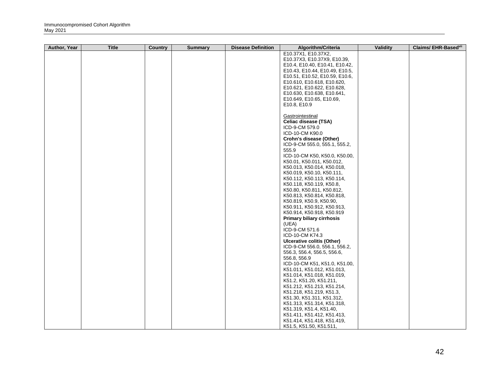| Author, Year | <b>Title</b> | Country | <b>Summary</b> | <b>Disease Definition</b> | Algorithm/Criteria                                       | Validity | Claims/ EHR-Basedvii |
|--------------|--------------|---------|----------------|---------------------------|----------------------------------------------------------|----------|----------------------|
|              |              |         |                |                           | E10.37X1, E10.37X2,                                      |          |                      |
|              |              |         |                |                           | E10.37X3, E10.37X9, E10.39,                              |          |                      |
|              |              |         |                |                           | E10.4, E10.40, E10.41, E10.42,                           |          |                      |
|              |              |         |                |                           | E10.43, E10.44, E10.49, E10.5,                           |          |                      |
|              |              |         |                |                           | E10.51, E10.52, E10.59, E10.6,                           |          |                      |
|              |              |         |                |                           | E10.610, E10.618, E10.620,                               |          |                      |
|              |              |         |                |                           | E10.621, E10.622, E10.628,                               |          |                      |
|              |              |         |                |                           | E10.630, E10.638, E10.641,                               |          |                      |
|              |              |         |                |                           | E10.649, E10.65, E10.69,                                 |          |                      |
|              |              |         |                |                           | E10.8, E10.9                                             |          |                      |
|              |              |         |                |                           |                                                          |          |                      |
|              |              |         |                |                           | Gastrointestinal                                         |          |                      |
|              |              |         |                |                           | Celiac disease (TSA)                                     |          |                      |
|              |              |         |                |                           | ICD-9-CM 579.0                                           |          |                      |
|              |              |         |                |                           | ICD-10-CM K90.0                                          |          |                      |
|              |              |         |                |                           | Crohn's disease (Other)                                  |          |                      |
|              |              |         |                |                           | ICD-9-CM 555.0, 555.1, 555.2,                            |          |                      |
|              |              |         |                |                           | 555.9                                                    |          |                      |
|              |              |         |                |                           | ICD-10-CM K50, K50.0, K50.00,                            |          |                      |
|              |              |         |                |                           | K50.01, K50.011, K50.012,                                |          |                      |
|              |              |         |                |                           | K50.013, K50.014, K50.018,                               |          |                      |
|              |              |         |                |                           | K50.019, K50.10, K50.111,                                |          |                      |
|              |              |         |                |                           | K50.112, K50.113, K50.114,                               |          |                      |
|              |              |         |                |                           | K50.118, K50.119, K50.8,                                 |          |                      |
|              |              |         |                |                           | K50.80, K50.811, K50.812,                                |          |                      |
|              |              |         |                |                           | K50.813, K50.814, K50.818,                               |          |                      |
|              |              |         |                |                           | K50.819, K50.9, K50.90,                                  |          |                      |
|              |              |         |                |                           | K50.911, K50.912, K50.913,                               |          |                      |
|              |              |         |                |                           | K50.914, K50.918, K50.919                                |          |                      |
|              |              |         |                |                           | <b>Primary biliary cirrhosis</b>                         |          |                      |
|              |              |         |                |                           | (UEA)                                                    |          |                      |
|              |              |         |                |                           | ICD-9-CM 571.6                                           |          |                      |
|              |              |         |                |                           | ICD-10-CM K74.3                                          |          |                      |
|              |              |         |                |                           | Ulcerative colitis (Other)                               |          |                      |
|              |              |         |                |                           | ICD-9-CM 556.0, 556.1, 556.2,                            |          |                      |
|              |              |         |                |                           | 556.3, 556.4, 556.5, 556.6,                              |          |                      |
|              |              |         |                |                           | 556.8, 556.9<br>ICD-10-CM K51, K51.0, K51.00,            |          |                      |
|              |              |         |                |                           |                                                          |          |                      |
|              |              |         |                |                           | K51.011, K51.012, K51.013,<br>K51.014, K51.018, K51.019, |          |                      |
|              |              |         |                |                           | K51.2, K51.20, K51.211,                                  |          |                      |
|              |              |         |                |                           | K51.212, K51.213, K51.214,                               |          |                      |
|              |              |         |                |                           | K51.218, K51.219, K51.3,                                 |          |                      |
|              |              |         |                |                           | K51.30, K51.311, K51.312,                                |          |                      |
|              |              |         |                |                           | K51.313, K51.314, K51.318,                               |          |                      |
|              |              |         |                |                           | K51.319, K51.4, K51.40,                                  |          |                      |
|              |              |         |                |                           | K51.411, K51.412, K51.413,                               |          |                      |
|              |              |         |                |                           | K51.414, K51.418, K51.419,                               |          |                      |
|              |              |         |                |                           | K51.5, K51.50, K51.511,                                  |          |                      |
|              |              |         |                |                           |                                                          |          |                      |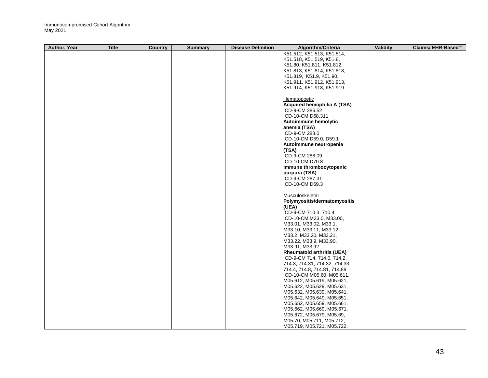| K51.512, K51.513, K51.514,<br>K51.518, K51.519, K51.8,<br>K51.80, K51.811, K51.812,<br>K51.813, K51.814, K51.818, |  |
|-------------------------------------------------------------------------------------------------------------------|--|
|                                                                                                                   |  |
|                                                                                                                   |  |
|                                                                                                                   |  |
|                                                                                                                   |  |
| K51.819, K51.9, K51.90,                                                                                           |  |
| K51.911, K51.912, K51.913,                                                                                        |  |
| K51.914, K51.918, K51.919                                                                                         |  |
|                                                                                                                   |  |
| Hematopoetic                                                                                                      |  |
| Acquired hemophilia A (TSA)                                                                                       |  |
| ICD-9-CM 286.52                                                                                                   |  |
| ICD-10-CM D68.311                                                                                                 |  |
| Autoimmune hemolytic                                                                                              |  |
| anemia (TSA)                                                                                                      |  |
| ICD-9-CM 283.0                                                                                                    |  |
| ICD-10-CM D59.0, D59.1                                                                                            |  |
| Autoimmune neutropenia<br>(TSA)                                                                                   |  |
| ICD-9-CM 288.09                                                                                                   |  |
| ICD-10-CM D70.8                                                                                                   |  |
| Immune thrombocytopenic                                                                                           |  |
| purpura (TSA)                                                                                                     |  |
| ICD-9-CM 287.31                                                                                                   |  |
| ICD-10-CM D69.3                                                                                                   |  |
|                                                                                                                   |  |
| Musculoskeletal                                                                                                   |  |
| Polymyositis/dermatomyositis                                                                                      |  |
| (UEA)                                                                                                             |  |
| ICD-9-CM 710.3, 710.4                                                                                             |  |
| ICD-10-CM M33.0, M33.00,                                                                                          |  |
| M33.01, M33.02, M33.1,                                                                                            |  |
| M33.10, M33.11, M33.12,                                                                                           |  |
| M33.2, M33.20, M33.21,                                                                                            |  |
| M33.22, M33.9, M33.90,                                                                                            |  |
| M33.91, M33.92                                                                                                    |  |
| <b>Rheumatoid arthritis (UEA)</b>                                                                                 |  |
| ICD-9-CM 714, 714.0, 714.2,                                                                                       |  |
| 714.3, 714.31, 714.32, 714.33,                                                                                    |  |
| 714.4, 714.8, 714.81, 714.89                                                                                      |  |
| ICD-10-CM M05.60, M05.611,                                                                                        |  |
| M05.612, M05.619, M05.621,                                                                                        |  |
| M05.622, M05.629, M05.631,                                                                                        |  |
| M05.632, M05.639, M05.641,                                                                                        |  |
| M05.642, M05.649, M05.651,<br>M05.652, M05.659, M05.661,                                                          |  |
| M05.662, M05.669, M05.671,                                                                                        |  |
| M05.672, M05.679, M05.69,                                                                                         |  |
| M05.70, M05.711, M05.712,                                                                                         |  |
| M05.719, M05.721, M05.722,                                                                                        |  |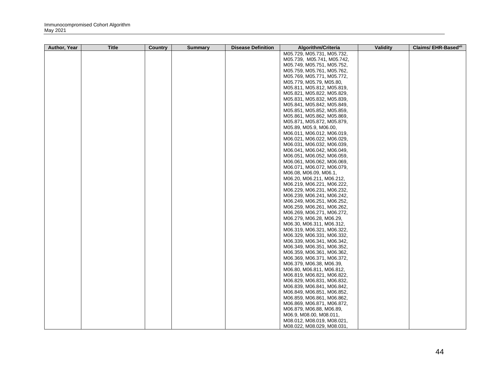| Author, Year | <b>Title</b> | Country | <b>Summary</b> | <b>Disease Definition</b> | Algorithm/Criteria         | Validity | Claims/ EHR-Basedvil |
|--------------|--------------|---------|----------------|---------------------------|----------------------------|----------|----------------------|
|              |              |         |                |                           | M05.729, M05.731, M05.732, |          |                      |
|              |              |         |                |                           | M05.739, M05.741, M05.742, |          |                      |
|              |              |         |                |                           | M05.749, M05.751, M05.752, |          |                      |
|              |              |         |                |                           | M05.759, M05.761, M05.762, |          |                      |
|              |              |         |                |                           | M05.769, M05.771, M05.772, |          |                      |
|              |              |         |                |                           | M05.779, M05.79, M05.80,   |          |                      |
|              |              |         |                |                           | M05.811, M05.812, M05.819, |          |                      |
|              |              |         |                |                           | M05.821, M05.822, M05.829, |          |                      |
|              |              |         |                |                           | M05.831, M05.832, M05.839, |          |                      |
|              |              |         |                |                           | M05.841, M05.842, M05.849, |          |                      |
|              |              |         |                |                           | M05.851, M05.852, M05.859, |          |                      |
|              |              |         |                |                           | M05.861, M05.862, M05.869, |          |                      |
|              |              |         |                |                           | M05.871, M05.872, M05.879, |          |                      |
|              |              |         |                |                           | M05.89, M05.9, M06.00,     |          |                      |
|              |              |         |                |                           | M06.011, M06.012, M06.019, |          |                      |
|              |              |         |                |                           | M06.021, M06.022, M06.029, |          |                      |
|              |              |         |                |                           | M06.031, M06.032, M06.039, |          |                      |
|              |              |         |                |                           | M06.041, M06.042, M06.049, |          |                      |
|              |              |         |                |                           | M06.051, M06.052, M06.059, |          |                      |
|              |              |         |                |                           | M06.061, M06.062, M06.069, |          |                      |
|              |              |         |                |                           | M06.071, M06.072, M06.079, |          |                      |
|              |              |         |                |                           | M06.08, M06.09, M06.1,     |          |                      |
|              |              |         |                |                           | M06.20, M06.211, M06.212,  |          |                      |
|              |              |         |                |                           | M06.219, M06.221, M06.222, |          |                      |
|              |              |         |                |                           | M06.229, M06.231, M06.232, |          |                      |
|              |              |         |                |                           | M06.239, M06.241, M06.242, |          |                      |
|              |              |         |                |                           | M06.249, M06.251, M06.252, |          |                      |
|              |              |         |                |                           | M06.259, M06.261, M06.262, |          |                      |
|              |              |         |                |                           | M06.269, M06.271, M06.272, |          |                      |
|              |              |         |                |                           | M06.279, M06.28, M06.29,   |          |                      |
|              |              |         |                |                           | M06.30, M06.311, M06.312,  |          |                      |
|              |              |         |                |                           | M06.319, M06.321, M06.322, |          |                      |
|              |              |         |                |                           | M06.329, M06.331, M06.332, |          |                      |
|              |              |         |                |                           | M06.339, M06.341, M06.342, |          |                      |
|              |              |         |                |                           | M06.349, M06.351, M06.352, |          |                      |
|              |              |         |                |                           | M06.359, M06.361, M06.362, |          |                      |
|              |              |         |                |                           | M06.369, M06.371, M06.372, |          |                      |
|              |              |         |                |                           | M06.379, M06.38, M06.39,   |          |                      |
|              |              |         |                |                           | M06.80, M06.811, M06.812,  |          |                      |
|              |              |         |                |                           | M06.819, M06.821, M06.822, |          |                      |
|              |              |         |                |                           | M06.829, M06.831, M06.832, |          |                      |
|              |              |         |                |                           | M06.839, M06.841, M06.842, |          |                      |
|              |              |         |                |                           | M06.849, M06.851, M06.852, |          |                      |
|              |              |         |                |                           | M06.859, M06.861, M06.862, |          |                      |
|              |              |         |                |                           | M06.869, M06.871, M06.872, |          |                      |
|              |              |         |                |                           | M06.879, M06.88, M06.89,   |          |                      |
|              |              |         |                |                           | M06.9, M08.00, M08.011,    |          |                      |
|              |              |         |                |                           | M08.012, M08.019, M08.021, |          |                      |
|              |              |         |                |                           | M08.022, M08.029, M08.031. |          |                      |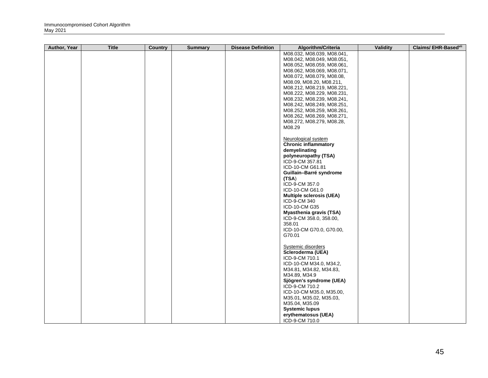| <b>Author, Year</b> | <b>Title</b> | <b>Country</b> | <b>Summary</b> | <b>Disease Definition</b> | Algorithm/Criteria                                                                     | Validity | Claims/ EHR-Basedvii |
|---------------------|--------------|----------------|----------------|---------------------------|----------------------------------------------------------------------------------------|----------|----------------------|
|                     |              |                |                |                           | M08.032, M08.039, M08.041,<br>M08.042, M08.049, M08.051,<br>M08.052, M08.059, M08.061, |          |                      |
|                     |              |                |                |                           | M08.062, M08.069, M08.071,                                                             |          |                      |
|                     |              |                |                |                           | M08.072, M08.079, M08.08,                                                              |          |                      |
|                     |              |                |                |                           | M08.09, M08.20, M08.211,                                                               |          |                      |
|                     |              |                |                |                           | M08.212, M08.219, M08.221,                                                             |          |                      |
|                     |              |                |                |                           | M08.222, M08.229, M08.231,                                                             |          |                      |
|                     |              |                |                |                           | M08.232, M08.239, M08.241,                                                             |          |                      |
|                     |              |                |                |                           | M08.242, M08.249, M08.251,                                                             |          |                      |
|                     |              |                |                |                           | M08.252, M08.259, M08.261,                                                             |          |                      |
|                     |              |                |                |                           | M08.262, M08.269, M08.271,                                                             |          |                      |
|                     |              |                |                |                           | M08.272, M08.279, M08.28,                                                              |          |                      |
|                     |              |                |                |                           | M08.29                                                                                 |          |                      |
|                     |              |                |                |                           | Neurological system                                                                    |          |                      |
|                     |              |                |                |                           | <b>Chronic inflammatory</b><br>demyelinating                                           |          |                      |
|                     |              |                |                |                           | polyneuropathy (TSA)                                                                   |          |                      |
|                     |              |                |                |                           | ICD-9-CM 357.81                                                                        |          |                      |
|                     |              |                |                |                           | ICD-10-CM G61.81                                                                       |          |                      |
|                     |              |                |                |                           | Guillain-Barré syndrome                                                                |          |                      |
|                     |              |                |                |                           | (TSA)                                                                                  |          |                      |
|                     |              |                |                |                           | ICD-9-CM 357.0                                                                         |          |                      |
|                     |              |                |                |                           | ICD-10-CM G61.0                                                                        |          |                      |
|                     |              |                |                |                           | <b>Multiple sclerosis (UEA)</b>                                                        |          |                      |
|                     |              |                |                |                           | ICD-9-CM 340<br>ICD-10-CM G35                                                          |          |                      |
|                     |              |                |                |                           | <b>Myasthenia gravis (TSA)</b>                                                         |          |                      |
|                     |              |                |                |                           | ICD-9-CM 358.0, 358.00,                                                                |          |                      |
|                     |              |                |                |                           | 358.01                                                                                 |          |                      |
|                     |              |                |                |                           | ICD-10-CM G70.0, G70.00,                                                               |          |                      |
|                     |              |                |                |                           | G70.01                                                                                 |          |                      |
|                     |              |                |                |                           | Systemic disorders                                                                     |          |                      |
|                     |              |                |                |                           | Scleroderma (UEA)                                                                      |          |                      |
|                     |              |                |                |                           | ICD-9-CM 710.1                                                                         |          |                      |
|                     |              |                |                |                           | ICD-10-CM M34.0, M34.2,                                                                |          |                      |
|                     |              |                |                |                           | M34.81, M34.82, M34.83,                                                                |          |                      |
|                     |              |                |                |                           | M34.89, M34.9                                                                          |          |                      |
|                     |              |                |                |                           | Sjögren's syndrome (UEA)<br>ICD-9-CM 710.2                                             |          |                      |
|                     |              |                |                |                           | ICD-10-CM M35.0, M35.00,                                                               |          |                      |
|                     |              |                |                |                           | M35.01, M35.02, M35.03,                                                                |          |                      |
|                     |              |                |                |                           | M35.04, M35.09                                                                         |          |                      |
|                     |              |                |                |                           | <b>Systemic lupus</b>                                                                  |          |                      |
|                     |              |                |                |                           | erythematosus (UEA)                                                                    |          |                      |
|                     |              |                |                |                           | ICD-9-CM 710.0                                                                         |          |                      |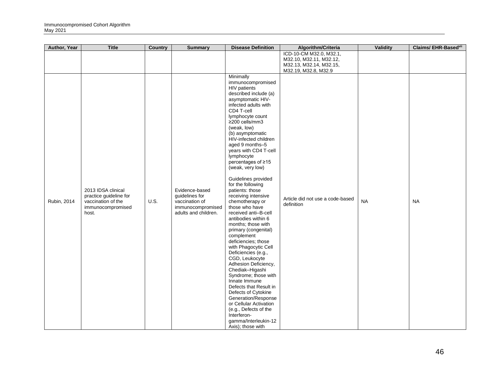| ICD-10-CM M32.0, M32.1,<br>M32.10, M32.11, M32.12,<br>M32.13, M32.14, M32.15,<br>M32.19, M32.8, M32.9<br>Minimally<br>immunocompromised<br>HIV patients<br>described include (a)<br>asymptomatic HIV-<br>infected adults with<br>CD4 T-cell<br>lymphocyte count<br>≥200 cells/mm3<br>(weak, low)<br>(b) asymptomatic<br>HIV-infected children<br>aged 9 months-5<br>years with CD4 T-cell<br>lymphocyte<br>percentages of ≥15<br>(weak, very low)<br>Guidelines provided<br>for the following<br>2013 IDSA clinical<br>Evidence-based<br>patients: those<br>practice guideline for<br>guidelines for<br>receiving intensive<br>Article did not use a code-based<br><b>NA</b><br>Rubin, 2014<br><b>U.S.</b><br><b>NA</b><br>vaccination of the<br>vaccination of<br>chemotherapy or<br>definition<br>immunocompromised<br>immunocompromised<br>those who have<br>adults and children.<br>received anti-B-cell<br>host.<br>antibodies within 6<br>months; those with<br>primary (congenital)<br>complement<br>deficiencies; those<br>with Phagocytic Cell<br>Deficiencies (e.g., | <b>Author, Year</b> | <b>Title</b> | <b>Country</b> | <b>Summary</b> | <b>Disease Definition</b> | Algorithm/Criteria | Validity | Claims/ EHR-Basedvil |
|--------------------------------------------------------------------------------------------------------------------------------------------------------------------------------------------------------------------------------------------------------------------------------------------------------------------------------------------------------------------------------------------------------------------------------------------------------------------------------------------------------------------------------------------------------------------------------------------------------------------------------------------------------------------------------------------------------------------------------------------------------------------------------------------------------------------------------------------------------------------------------------------------------------------------------------------------------------------------------------------------------------------------------------------------------------------------------|---------------------|--------------|----------------|----------------|---------------------------|--------------------|----------|----------------------|
|                                                                                                                                                                                                                                                                                                                                                                                                                                                                                                                                                                                                                                                                                                                                                                                                                                                                                                                                                                                                                                                                                |                     |              |                |                |                           |                    |          |                      |
|                                                                                                                                                                                                                                                                                                                                                                                                                                                                                                                                                                                                                                                                                                                                                                                                                                                                                                                                                                                                                                                                                |                     |              |                |                |                           |                    |          |                      |
|                                                                                                                                                                                                                                                                                                                                                                                                                                                                                                                                                                                                                                                                                                                                                                                                                                                                                                                                                                                                                                                                                |                     |              |                |                |                           |                    |          |                      |
| CGD, Leukocyte<br>Adhesion Deficiency,<br>Chediak-Higashi<br>Syndrome; those with<br>Innate Immune<br>Defects that Result in<br>Defects of Cytokine<br>Generation/Response<br>or Cellular Activation<br>(e.g., Defects of the<br>Interferon-<br>gamma/Interleukin-12<br>Axis); those with                                                                                                                                                                                                                                                                                                                                                                                                                                                                                                                                                                                                                                                                                                                                                                                      |                     |              |                |                |                           |                    |          |                      |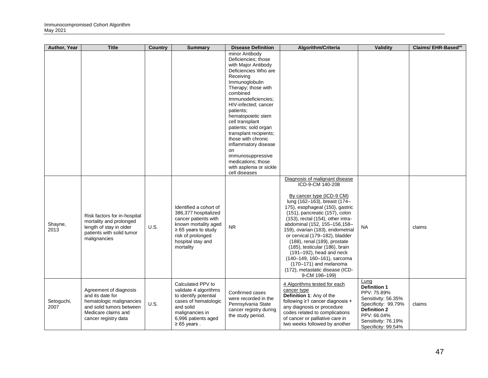| <b>Author, Year</b> | <b>Title</b>                                                                                                                                      | Country     | <b>Summary</b>                                                                                                                                                                    | <b>Disease Definition</b>                                                                                                                                                                                                                                                                                                                                                                                                                                | Algorithm/Criteria                                                                                                                                                                                                                                                                                                                                                                                                                                                                                                                                            | Validity                                                                                                                                                                            | Claims/ EHR-Based <sup>vii</sup> |
|---------------------|---------------------------------------------------------------------------------------------------------------------------------------------------|-------------|-----------------------------------------------------------------------------------------------------------------------------------------------------------------------------------|----------------------------------------------------------------------------------------------------------------------------------------------------------------------------------------------------------------------------------------------------------------------------------------------------------------------------------------------------------------------------------------------------------------------------------------------------------|---------------------------------------------------------------------------------------------------------------------------------------------------------------------------------------------------------------------------------------------------------------------------------------------------------------------------------------------------------------------------------------------------------------------------------------------------------------------------------------------------------------------------------------------------------------|-------------------------------------------------------------------------------------------------------------------------------------------------------------------------------------|----------------------------------|
|                     |                                                                                                                                                   |             |                                                                                                                                                                                   | minor Antibody<br>Deficiencies; those<br>with Major Antibody<br>Deficiencies Who are<br>Receiving<br>Immunoglobulin<br>Therapy; those with<br>combined<br>Immunodeficiencies;<br>HIV-infected; cancer<br>patients:<br>hematopoietic stem<br>cell transplant<br>patients; sold organ<br>transplant recipients;<br>those with chronic<br>inflammatory disease<br>on<br>immunosuppressive<br>medications; those<br>with asplenia or sickle<br>cell diseases |                                                                                                                                                                                                                                                                                                                                                                                                                                                                                                                                                               |                                                                                                                                                                                     |                                  |
| Shayne,<br>2013     | Risk factors for in-hospital<br>mortality and prolonged<br>length of stay in older<br>patients with solid tumor<br>malignancies                   | <b>U.S.</b> | Identified a cohort of<br>386,377 hospitalized<br>cancer patients with<br>known mortality aged<br>$\geq 65$ years to study<br>risk of prolonged<br>hospital stay and<br>mortality | NR.                                                                                                                                                                                                                                                                                                                                                                                                                                                      | Diagnosis of malignant disease<br>ICD-9-CM 140-208<br>By cancer type (ICD-9 CM)<br>lung (162-163), breast (174-<br>175), esophageal (150), gastric<br>(151), pancreatic (157), colon<br>$(153)$ , rectal $(154)$ , other intra-<br>abdominal (152, 155-156, 158-<br>159), ovarian (183), endometrial<br>or cervical (179-182), bladder<br>$(188)$ , renal $(189)$ , prostate<br>$(185)$ , testicular $(186)$ , brain<br>(191-192), head and neck<br>(140-149, 160-161), sarcoma<br>(170-171) and melanoma<br>(172), metastatic disease (ICD-<br>9-CM 196-199) | NA.                                                                                                                                                                                 | claims                           |
| Setoguchi,<br>2007  | Agreement of diagnosis<br>and its date for<br>hematologic malignancies<br>and solid tumors between<br>Medicare claims and<br>cancer registry data | U.S.        | Calculated PPV to<br>validate 4 algorithms<br>to identify potential<br>cases of hematologic<br>and solid<br>malignancies in<br>6,996 patients aged<br>$\geq 65$ years.            | Confirmed cases<br>were recorded in the<br>Pennsylvania State<br>cancer registry during<br>the study period.                                                                                                                                                                                                                                                                                                                                             | 4 Algorithms tested for each<br>cancer type<br>Definition 1: Any of the<br>following ≥1 cancer diagnosis +<br>any diagnosis or procedure<br>codes related to complications<br>of cancer or palliative care in<br>two weeks followed by another                                                                                                                                                                                                                                                                                                                | <u>Lung</u><br><b>Definition 1</b><br>PPV: 75.89%<br>Sensitivity: 56.35%<br>Specificity: 99.79%<br><b>Definition 2</b><br>PPV: 66.04%<br>Sensitivity: 76.19%<br>Specificity: 99.54% | claims                           |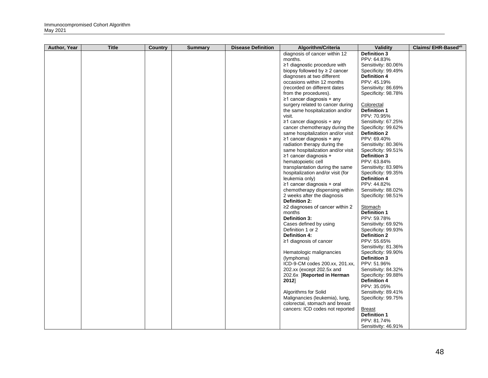| Author, Year | <b>Title</b> | <b>Country</b> | <b>Summary</b> | <b>Disease Definition</b> | Algorithm/Criteria                        | Validity                              | Claims/ EHR-Basedvil |
|--------------|--------------|----------------|----------------|---------------------------|-------------------------------------------|---------------------------------------|----------------------|
|              |              |                |                |                           | diagnosis of cancer within 12             | <b>Definition 3</b>                   |                      |
|              |              |                |                |                           | months.                                   | PPV: 64.83%                           |                      |
|              |              |                |                |                           | ≥1 diagnostic procedure with              | Sensitivity: 80.06%                   |                      |
|              |              |                |                |                           | biopsy followed by $\geq 2$ cancer        | Specificity: 99.49%                   |                      |
|              |              |                |                |                           | diagnoses at two different                | <b>Definition 4</b>                   |                      |
|              |              |                |                |                           | occasions within 12 months                | PPV: 45.19%                           |                      |
|              |              |                |                |                           | (recorded on different dates              | Sensitivity: 86.69%                   |                      |
|              |              |                |                |                           | from the procedures).                     | Specificity: 98.78%                   |                      |
|              |              |                |                |                           | $\geq$ 1 cancer diagnosis + any           |                                       |                      |
|              |              |                |                |                           | surgery related to cancer during          | Colorectal                            |                      |
|              |              |                |                |                           | the same hospitalization and/or           | <b>Definition 1</b>                   |                      |
|              |              |                |                |                           | visit.                                    | PPV: 70.95%                           |                      |
|              |              |                |                |                           | $\geq$ 1 cancer diagnosis + any           | Sensitivity: 67.25%                   |                      |
|              |              |                |                |                           | cancer chemotherapy during the            | Specificity: 99.62%                   |                      |
|              |              |                |                |                           | same hospitalization and/or visit         | <b>Definition 2</b>                   |                      |
|              |              |                |                |                           | $\geq$ 1 cancer diagnosis + any           | PPV: 69.40%                           |                      |
|              |              |                |                |                           | radiation therapy during the              | Sensitivity: 80.36%                   |                      |
|              |              |                |                |                           | same hospitalization and/or visit         | Specificity: 99.51%                   |                      |
|              |              |                |                |                           | $\geq$ 1 cancer diagnosis +               | <b>Definition 3</b>                   |                      |
|              |              |                |                |                           | hematopoietic cell                        | PPV: 63.84%                           |                      |
|              |              |                |                |                           | transplantation during the same           | Sensitivity: 83.98%                   |                      |
|              |              |                |                |                           | hospitalization and/or visit (for         | Specificity: 99.35%                   |                      |
|              |              |                |                |                           | leukemia only)                            | <b>Definition 4</b>                   |                      |
|              |              |                |                |                           | ≥1 cancer diagnosis + oral                | PPV: 44.82%                           |                      |
|              |              |                |                |                           | chemotherapy dispensing within            | Sensitivity: 88.02%                   |                      |
|              |              |                |                |                           | 2 weeks after the diagnosis               | Specificity: 98.51%                   |                      |
|              |              |                |                |                           | <b>Definition 2:</b>                      |                                       |                      |
|              |              |                |                |                           | ≥2 diagnoses of cancer within 2<br>months | <b>Stomach</b><br><b>Definition 1</b> |                      |
|              |              |                |                |                           | Definition 3:                             | PPV: 59.78%                           |                      |
|              |              |                |                |                           | Cases defined by using                    | Sensitivity: 69.92%                   |                      |
|              |              |                |                |                           | Definition 1 or 2                         | Specificity: 99.93%                   |                      |
|              |              |                |                |                           | <b>Definition 4:</b>                      | <b>Definition 2</b>                   |                      |
|              |              |                |                |                           | $\geq$ 1 diagnosis of cancer              | PPV: 55.65%                           |                      |
|              |              |                |                |                           |                                           | Sensitivity: 81.36%                   |                      |
|              |              |                |                |                           | Hematologic malignancies                  | Specificity: 99.90%                   |                      |
|              |              |                |                |                           | (lymphoma)                                | <b>Definition 3</b>                   |                      |
|              |              |                |                |                           | ICD-9-CM codes 200.xx, 201.xx,            | PPV: 51.96%                           |                      |
|              |              |                |                |                           | 202.xx (except 202.5x and                 | Sensitivity: 84.32%                   |                      |
|              |              |                |                |                           | 202.6x [Reported in Herman]               | Specificity: 99.88%                   |                      |
|              |              |                |                |                           | 2012]                                     | <b>Definition 4</b>                   |                      |
|              |              |                |                |                           |                                           | PPV: 35.05%                           |                      |
|              |              |                |                |                           | Algorithms for Solid                      | Sensitivity: 89.41%                   |                      |
|              |              |                |                |                           | Malignancies (leukemia), lung,            | Specificity: 99.75%                   |                      |
|              |              |                |                |                           | colorectal, stomach and breast            |                                       |                      |
|              |              |                |                |                           | cancers: ICD codes not reported           | Breast                                |                      |
|              |              |                |                |                           |                                           | <b>Definition 1</b>                   |                      |
|              |              |                |                |                           |                                           | PPV: 81.74%                           |                      |
|              |              |                |                |                           |                                           | Sensitivity: 46.91%                   |                      |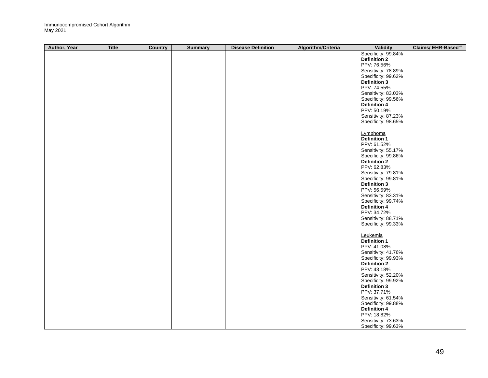| Author, Year | <b>Title</b> | <b>Country</b> | <b>Summary</b> | <b>Disease Definition</b> | Algorithm/Criteria | <b>Validity</b>                            | Claims/ EHR-Basedvil |
|--------------|--------------|----------------|----------------|---------------------------|--------------------|--------------------------------------------|----------------------|
|              |              |                |                |                           |                    | Specificity: 99.84%                        |                      |
|              |              |                |                |                           |                    | <b>Definition 2</b>                        |                      |
|              |              |                |                |                           |                    | PPV: 76.56%                                |                      |
|              |              |                |                |                           |                    | Sensitivity: 78.89%<br>Specificity: 99.62% |                      |
|              |              |                |                |                           |                    | <b>Definition 3</b>                        |                      |
|              |              |                |                |                           |                    | PPV: 74.55%                                |                      |
|              |              |                |                |                           |                    | Sensitivity: 83.03%                        |                      |
|              |              |                |                |                           |                    | Specificity: 99.56%                        |                      |
|              |              |                |                |                           |                    | <b>Definition 4</b>                        |                      |
|              |              |                |                |                           |                    | PPV: 50.19%                                |                      |
|              |              |                |                |                           |                    | Sensitivity: 87.23%                        |                      |
|              |              |                |                |                           |                    | Specificity: 98.65%                        |                      |
|              |              |                |                |                           |                    | Lymphoma                                   |                      |
|              |              |                |                |                           |                    | Definition 1                               |                      |
|              |              |                |                |                           |                    | PPV: 61.52%                                |                      |
|              |              |                |                |                           |                    | Sensitivity: 55.17%                        |                      |
|              |              |                |                |                           |                    | Specificity: 99.86%                        |                      |
|              |              |                |                |                           |                    | <b>Definition 2</b><br>PPV: 62.83%         |                      |
|              |              |                |                |                           |                    | Sensitivity: 79.81%                        |                      |
|              |              |                |                |                           |                    | Specificity: 99.81%                        |                      |
|              |              |                |                |                           |                    | <b>Definition 3</b>                        |                      |
|              |              |                |                |                           |                    | PPV: 56.59%                                |                      |
|              |              |                |                |                           |                    | Sensitivity: 83.31%                        |                      |
|              |              |                |                |                           |                    | Specificity: 99.74%                        |                      |
|              |              |                |                |                           |                    | <b>Definition 4</b>                        |                      |
|              |              |                |                |                           |                    | PPV: 34.72%<br>Sensitivity: 88.71%         |                      |
|              |              |                |                |                           |                    | Specificity: 99.33%                        |                      |
|              |              |                |                |                           |                    |                                            |                      |
|              |              |                |                |                           |                    | Leukemia                                   |                      |
|              |              |                |                |                           |                    | <b>Definition 1</b>                        |                      |
|              |              |                |                |                           |                    | PPV: 41.08%                                |                      |
|              |              |                |                |                           |                    | Sensitivity: 41.76%                        |                      |
|              |              |                |                |                           |                    | Specificity: 99.93%<br><b>Definition 2</b> |                      |
|              |              |                |                |                           |                    | PPV: 43.18%                                |                      |
|              |              |                |                |                           |                    | Sensitivity: 52.20%                        |                      |
|              |              |                |                |                           |                    | Specificity: 99.92%                        |                      |
|              |              |                |                |                           |                    | <b>Definition 3</b>                        |                      |
|              |              |                |                |                           |                    | PPV: 37.71%                                |                      |
|              |              |                |                |                           |                    | Sensitivity: 61.54%                        |                      |
|              |              |                |                |                           |                    | Specificity: 99.88%                        |                      |
|              |              |                |                |                           |                    | <b>Definition 4</b><br>PPV: 18.82%         |                      |
|              |              |                |                |                           |                    | Sensitivity: 73.63%                        |                      |
|              |              |                |                |                           |                    | Specificity: 99.63%                        |                      |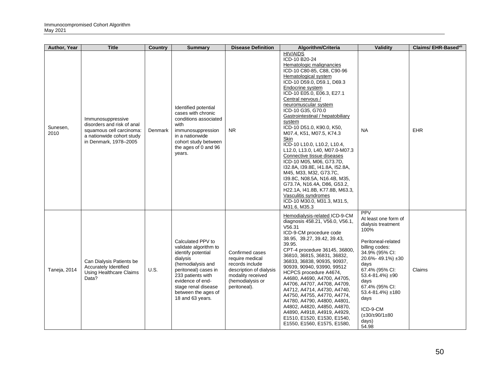| Author, Year     | <b>Title</b>                                                                                                                      | <b>Country</b> | <b>Summary</b>                                                                                                                                                                                                                       | <b>Disease Definition</b>                                                                                                                 | Algorithm/Criteria                                                                                                                                                                                                                                                                                                                                                                                                                                                                                                                                                                                                                                                                                                                                  | Validity                                                                                                                                                                                                                                                                                                              | Claims/ EHR-Basedvil |
|------------------|-----------------------------------------------------------------------------------------------------------------------------------|----------------|--------------------------------------------------------------------------------------------------------------------------------------------------------------------------------------------------------------------------------------|-------------------------------------------------------------------------------------------------------------------------------------------|-----------------------------------------------------------------------------------------------------------------------------------------------------------------------------------------------------------------------------------------------------------------------------------------------------------------------------------------------------------------------------------------------------------------------------------------------------------------------------------------------------------------------------------------------------------------------------------------------------------------------------------------------------------------------------------------------------------------------------------------------------|-----------------------------------------------------------------------------------------------------------------------------------------------------------------------------------------------------------------------------------------------------------------------------------------------------------------------|----------------------|
| Sunesen,<br>2010 | Immunosuppressive<br>disorders and risk of anal<br>squamous cell carcinoma:<br>a nationwide cohort study<br>in Denmark, 1978-2005 | Denmark        | Identified potential<br>cases with chronic<br>conditions associated<br>with<br>immunosuppression<br>in a nationwide<br>cohort study between<br>the ages of 0 and 96<br>years.                                                        | N <sub>R</sub>                                                                                                                            | <b>HIV/AIDS</b><br>ICD-10 B20-24<br>Hematologic malignancies<br>ICD-10 C80-85, C88, C90-96<br>Hematological system<br>ICD-10 D59.0, D59.1, D69.3<br>Endocrine system<br>ICD-10 E05.0, E06.3, E27.1<br>Central nervous /<br>neuromuscular system<br>ICD-10 G35, G70.0<br>Gastrointestinal / hepatobiliary<br>system<br>ICD-10 D51.0, K90.0, K50,<br>M07.4, K51, M07.5, K74.3<br>Skin<br>ICD-10 L10.0, L10.2, L10.4,<br>L12.0, L13.0, L40, M07.0-M07.3<br>Connective tissue diseases<br>ICD-10 M05, M06, G73.7D,<br>I32.8A, I39.8E, I41.8A, I52.8A,<br>M45, M33, M32, G73.7C,<br>139.8C, N08.5A, N16.4B, M35,<br>G73.7A, N16.4A, D86, G53.2,<br>H22.1A, I41.8B, K77.8B, M63.3,<br>Vasculitis syndromes<br>ICD-10 M30.0, M31.3, M31.5,<br>M31.6, M35.3 | <b>NA</b>                                                                                                                                                                                                                                                                                                             | EHR                  |
| Taneja, 2014     | Can Dialysis Patients be<br>Accurately Identified<br>Using Healthcare Claims<br>Data?                                             | U.S.           | Calculated PPV to<br>validate algorithm to<br>identify potential<br>dialysis<br>(hemodialysis and<br>peritoneal) cases in<br>233 patients with<br>evidence of end-<br>stage renal disease<br>between the ages of<br>18 and 63 years. | Confirmed cases<br>require medical<br>records include<br>description of dialysis<br>modality received<br>(hemodialysis or<br>peritoneal). | Hemodialysis-related ICD-9-CM<br>diagnosis 458.21, V56.0, V56.1,<br>V56.31<br>ICD-9-CM procedure code<br>38.95, 39.27, 39.42, 39.43,<br>39.95.<br>CPT-4 procedure 36145, 36800,<br>36810, 36815, 36831, 36832,<br>36833, 36838, 90935, 90937,<br>90939, 90940, 93990, 99512<br>HCPCS procedure A4674,<br>A4680, A4690, A4700, A4705,<br>A4706, A4707, A4708, A4709,<br>A4712, A4714, A4730, A4740,<br>A4750, A4755, A4770, A4774,<br>A4780, A4790, A4800, A4801,<br>A4802, A4820, A4850, A4870,<br>A4890, A4918, A4919, A4929,<br>E1510, E1520, E1530, E1540,<br>E1550, E1560, E1575, E1580,                                                                                                                                                        | <b>PPV</b><br>At least one form of<br>dialysis treatment<br>100%<br>Peritoneal-related<br>billing codes:<br>34.9% (95% CI:<br>$20.6\% - 49.1\%$ ± 30<br>days<br>67.4% (95% CI:<br>$53.4 - 81.4%$ ±90<br>days<br>67.4% (95% CI:<br>53.4-81.4%) ±180<br>days<br>ICD-9-CM<br>$(\pm 30/\pm 90/1 \pm 80$<br>days)<br>54.98 | Claims               |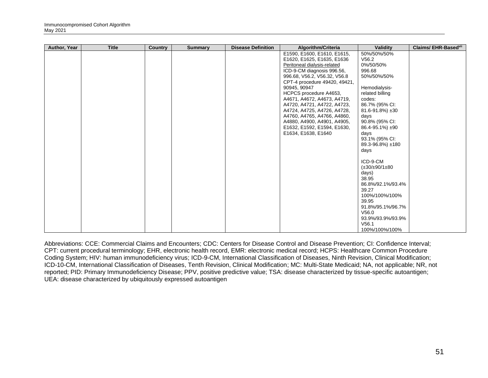| Author, Year | <b>Title</b> | <b>Country</b> | <b>Summary</b> | <b>Disease Definition</b> | Algorithm/Criteria                                                                                                                                                                                                                                                                                                                                                                                                                                 | Validity                                                                                                                                                                                                                                                                                                                                                                                                                                            | Claims/EHR-Basedvil |
|--------------|--------------|----------------|----------------|---------------------------|----------------------------------------------------------------------------------------------------------------------------------------------------------------------------------------------------------------------------------------------------------------------------------------------------------------------------------------------------------------------------------------------------------------------------------------------------|-----------------------------------------------------------------------------------------------------------------------------------------------------------------------------------------------------------------------------------------------------------------------------------------------------------------------------------------------------------------------------------------------------------------------------------------------------|---------------------|
|              |              |                |                |                           | E1590, E1600, E1610, E1615,<br>E1620, E1625, E1635, E1636<br>Peritoneal dialysis-related<br>ICD-9-CM diagnosis 996.56,<br>996.68, V56.2, V56.32, V56.8<br>CPT-4 procedure 49420, 49421,<br>90945, 90947<br>HCPCS procedure A4653,<br>A4671, A4672, A4673, A4719,<br>A4720, A4721, A4722, A4723,<br>A4724, A4725, A4726, A4728,<br>A4760, A4765, A4766, A4860,<br>A4880, A4900, A4901, A4905,<br>E1632, E1592, E1594, E1630,<br>E1634, E1638, E1640 | 50%/50%/50%<br>V56.2<br>0%/50/50%<br>996.68<br>50%/50%/50%<br>Hemodialysis-<br>related billing<br>codes:<br>86.7% (95% CI:<br>81.6-91.8%) ±30<br>days<br>90.8% (95% CI:<br>86.4-95.1%) ±90<br>days<br>93.1% (95% CI:<br>89.3-96.8%) ±180<br>days<br>ICD-9-CM<br>$(\pm 30/\pm 90/1 \pm 80)$<br>days)<br>38.95<br>86.8%/92.1%/93.4%<br>39.27<br>100%/100%/100%<br>39.95<br>91.8%/95.1%/96.7%<br>V56.0<br>93.9%/93.9%/93.9%<br>V56.1<br>100%/100%/100% |                     |

Abbreviations: CCE: Commercial Claims and Encounters; CDC: Centers for Disease Control and Disease Prevention; CI: Confidence Interval; CPT: current procedural terminology; EHR, electronic health record, EMR: electronic medical record; HCPS: Healthcare Common Procedure Coding System; HIV: human immunodeficiency virus; ICD-9-CM, International Classification of Diseases, Ninth Revision, Clinical Modification; ICD-10-CM, International Classification of Diseases, Tenth Revision, Clinical Modification; MC: Multi-State Medicaid; NA, not applicable; NR, not reported; PID: Primary Immunodeficiency Disease; PPV, positive predictive value; TSA: disease characterized by tissue-specific autoantigen; UEA: disease characterized by ubiquitously expressed autoantigen